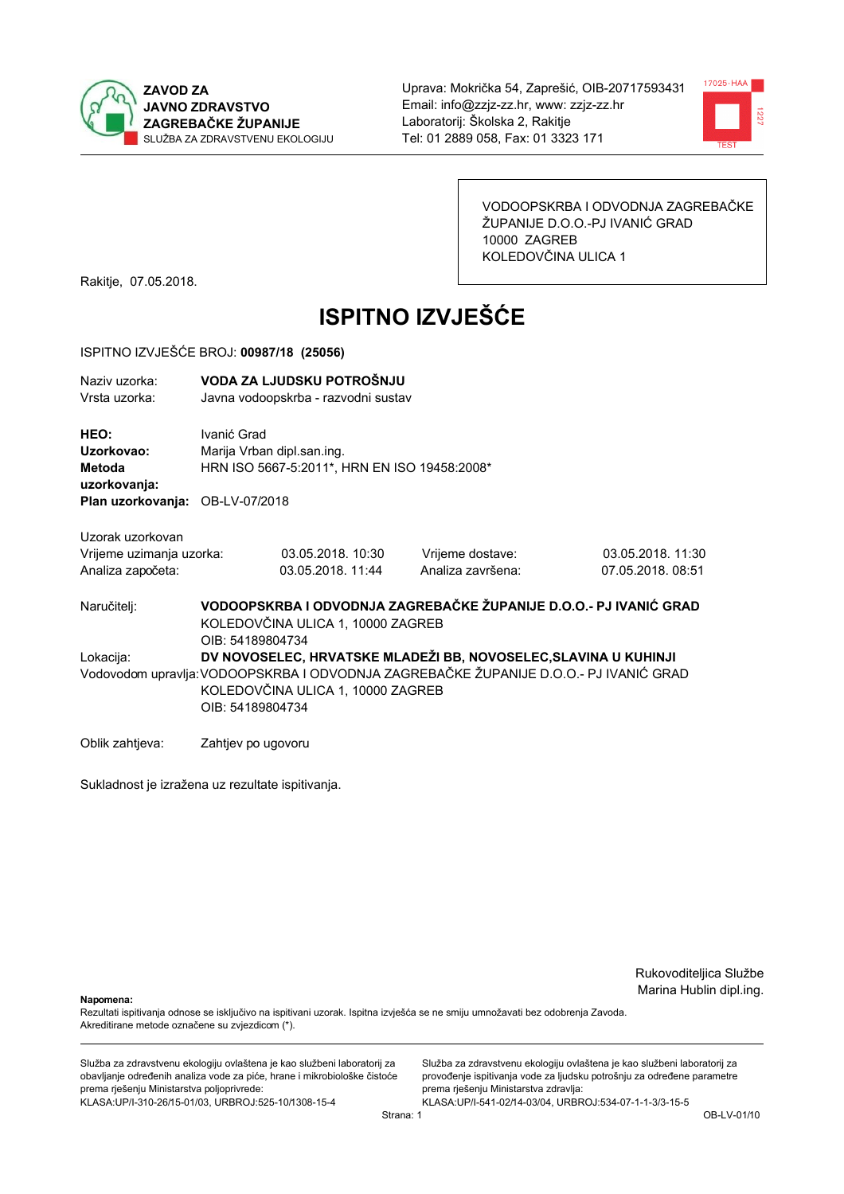



VODOOPSKRBA I ODVODNJA ZAGREBAČKE ŽUPANIJE D.O.O.-PJ IVANIĆ GRAD 10000 ZAGREB KOLEDOVČINA ULICA 1

Rakitje, 07.05.2018.

# **ISPITNO IZVJEŠĆE**

### ISPITNO IZVJEŠĆE BROJ: 00987/18 (25056)

| Naziv uzorka:<br>Vrsta uzorka:               |                    | VODA ZA LJUDSKU POTROŠNJU<br>Javna vodoopskrba - razvodni sustav           |                                                                                      |                   |  |  |
|----------------------------------------------|--------------------|----------------------------------------------------------------------------|--------------------------------------------------------------------------------------|-------------------|--|--|
| HEO:<br>Uzorkovao:<br>Metoda<br>uzorkovanja: | Ivanić Grad        | Marija Vrban dipl.san.ing.<br>HRN ISO 5667-5:2011*, HRN EN ISO 19458:2008* |                                                                                      |                   |  |  |
| Plan uzorkovanja: OB-LV-07/2018              |                    |                                                                            |                                                                                      |                   |  |  |
| Uzorak uzorkovan                             |                    |                                                                            |                                                                                      |                   |  |  |
| Vrijeme uzimanja uzorka:                     |                    | 03.05.2018. 10:30                                                          | Vrijeme dostave:                                                                     | 03.05.2018. 11:30 |  |  |
| Analiza započeta:                            |                    | 03.05.2018. 11:44                                                          | Analiza završena:                                                                    | 07.05.2018.08:51  |  |  |
| Naručitelj:                                  | OIB: 54189804734   | KOLEDOVČINA ULICA 1, 10000 ZAGREB                                          | VODOOPSKRBA I ODVODNJA ZAGREBAČKE ŽUPANIJE D.O.O.- PJ IVANIĆ GRAD                    |                   |  |  |
| Lokacija:                                    |                    |                                                                            | DV NOVOSELEC, HRVATSKE MLADEŽI BB, NOVOSELEC, SLAVINA U KUHINJI                      |                   |  |  |
|                                              | OIB: 54189804734   | KOLEDOVČINA ULICA 1, 10000 ZAGREB                                          | Vodovodom upravlja:VODOOPSKRBA I ODVODNJA ZAGREBAČKE ŽUPANIJE D.O.O.- PJ IVANIĆ GRAD |                   |  |  |
| Oblik zahtjeva:                              | Zahtjev po ugovoru |                                                                            |                                                                                      |                   |  |  |

Sukladnost je izražena uz rezultate ispitivanja.

Rukovoditeljica Službe Marina Hublin dipl.ing.

Napomena:

Rezultati ispitivanja odnose se isključivo na ispitivani uzorak. Ispitna izvješća se ne smiju umnožavati bez odobrenja Zavoda. Akreditirane metode označene su zvjezdicom (\*).

Služba za zdravstvenu ekologiju ovlaštena je kao službeni laboratorij za obavljanje određenih analiza vode za piće, hrane i mikrobiološke čistoće prema rješenju Ministarstva poljoprivrede: KLASA.UP/I-310-26/15-01/03, URBROJ:525-10/1308-15-4

Služba za zdravstvenu ekologiju ovlaštena je kao službeni laboratorij za provođenje ispitivanja vode za ljudsku potrošnju za određene parametre prema rješenju Ministarstva zdravlja: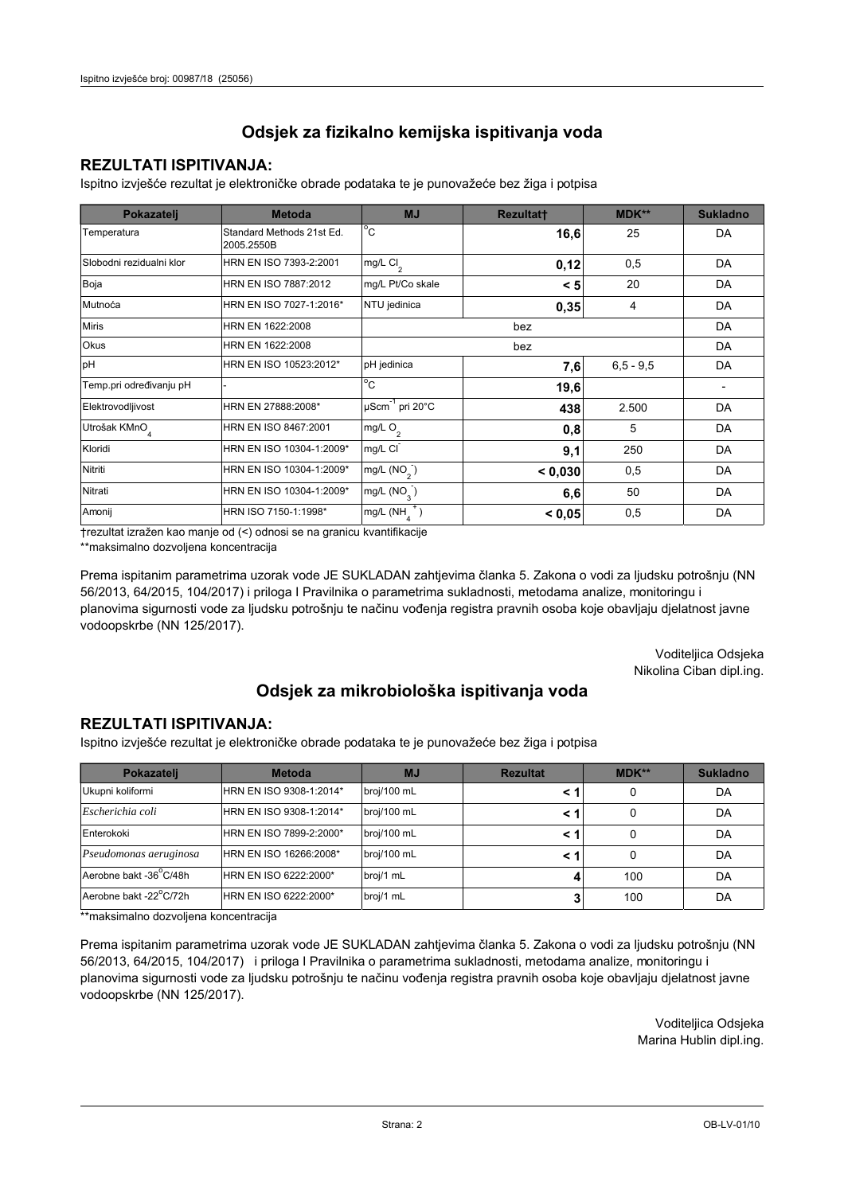## **REZULTATI ISPITIVANJA:**

Ispitno izviešće rezultat je elektroničke obrade podataka te je punovažeće bez žiga i potpisa

| Pokazatelj                | <b>Metoda</b>                           | <b>MJ</b>                        | <b>Rezultatt</b> | <b>MDK**</b>  | <b>Sukladno</b> |
|---------------------------|-----------------------------------------|----------------------------------|------------------|---------------|-----------------|
| Temperatura               | Standard Methods 21st Ed.<br>2005.2550B | $^{\circ}$ C                     | 16,6             | 25            | DA              |
| Slobodni rezidualni klor  | HRN EN ISO 7393-2:2001                  | $mg/L$ Cl <sub>2</sub>           | 0,12             | 0,5           | DA              |
| Boja                      | HRN EN ISO 7887:2012                    | mg/L Pt/Co skale                 | < 5              | 20            | DA              |
| Mutnoća                   | HRN EN ISO 7027-1:2016*                 | NTU jedinica                     | 0,35             | 4             | DA              |
| <b>Miris</b>              | HRN EN 1622:2008                        |                                  | DA               |               |                 |
| Okus                      | HRN EN 1622:2008                        |                                  | DA               |               |                 |
| pH                        | HRN EN ISO 10523:2012*                  | pH jedinica                      | 7,6              | $6, 5 - 9, 5$ | DA              |
| Temp.pri određivanju pH   |                                         | $^{\circ}$ C                     | 19,6             |               |                 |
| Elektrovodljivost         | HRN EN 27888:2008*                      | $\mu$ Scm <sup>-1</sup> pri 20°C | 438              | 2.500         | DA              |
| Utrošak KMnO <sub>4</sub> | HRN EN ISO 8467:2001                    | mg/L $O_2$                       | 0,8              | 5             | DA              |
| Kloridi                   | HRN EN ISO 10304-1:2009*                | mg/L CI                          | 9,1              | 250           | DA              |
| Nitriti                   | HRN EN ISO 10304-1:2009*                | mg/L (NO <sub>2</sub> )          | < 0.030          | 0,5           | DA              |
| Nitrati                   | HRN EN ISO 10304-1:2009*                | mg/L $(NO3)$<br>50<br>6,6        |                  |               | DA              |
| Amonij                    | HRN ISO 7150-1:1998*                    | mg/L (NH                         | < 0.05           | 0,5           | DA              |

trezultat izražen kao manje od (<) odnosi se na granicu kvantifikacije

\*\*maksimalno dozvoljena koncentracija

Prema ispitanim parametrima uzorak vode JE SUKLADAN zahtjevima članka 5. Zakona o vodi za ljudsku potrošnju (NN 56/2013, 64/2015, 104/2017) i priloga I Pravilnika o parametrima sukladnosti, metodama analize, monitoringu i planovima sigurnosti vode za ljudsku potrošnju te načinu vođenja registra pravnih osoba koje obavljaju djelatnost javne vodoopskrbe (NN 125/2017).

> Voditeljica Odsjeka Nikolina Ciban dipl.ing.

## Odsjek za mikrobiološka ispitivanja voda

### **REZULTATI ISPITIVANJA:**

Ispitno izvješće rezultat je elektroničke obrade podataka te je punovažeće bez žiga i potpisa

| Pokazatelj             | <b>Metoda</b>           | <b>MJ</b>   | <b>Rezultat</b> | MDK** | <b>Sukladno</b> |
|------------------------|-------------------------|-------------|-----------------|-------|-----------------|
| Ukupni koliformi       | HRN EN ISO 9308-1:2014* | broj/100 mL |                 | 0     | DA              |
| Escherichia coli       | HRN EN ISO 9308-1:2014* | broj/100 mL |                 | 0     | DA              |
| Enterokoki             | HRN EN ISO 7899-2:2000* | broj/100 mL |                 | 0     | DA              |
| Pseudomonas aeruginosa | HRN EN ISO 16266:2008*  | broj/100 mL |                 | 0     | DA              |
| Aerobne bakt -36°C/48h | HRN EN ISO 6222:2000*   | broj/1 mL   |                 | 100   | DA              |
| Aerobne bakt -22°C/72h | HRN EN ISO 6222:2000*   | broj/1 mL   |                 | 100   | DA              |

\*\*maksimalno dozvoljena koncentracija

Prema ispitanim parametrima uzorak vode JE SUKLADAN zahtjevima članka 5. Zakona o vodi za ljudsku potrošnju (NN 56/2013, 64/2015, 104/2017) i priloga I Pravilnika o parametrima sukladnosti, metodama analize, monitoringu i planovima sigurnosti vode za ljudsku potrošnju te načinu vođenja registra pravnih osoba koje obavljaju djelatnost javne vodoopskrbe (NN 125/2017).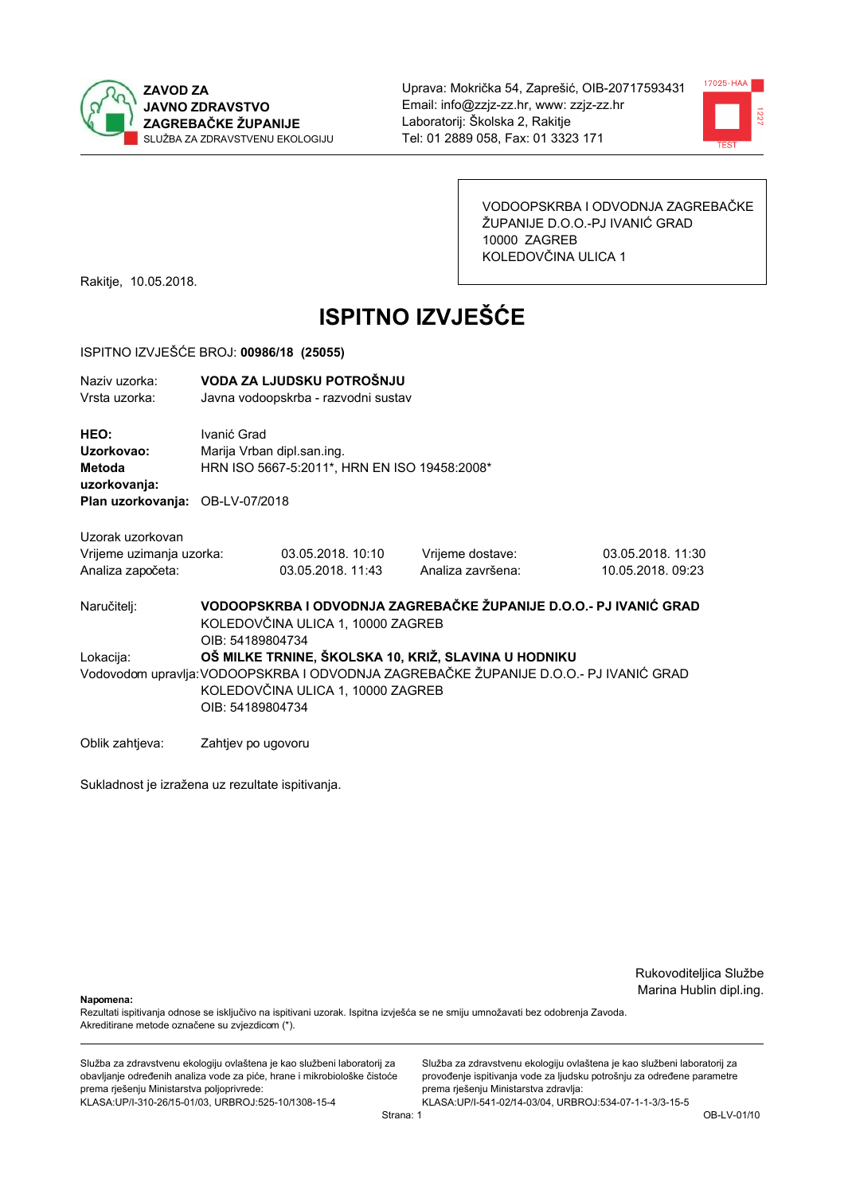



VODOOPSKRBA I ODVODNJA ZAGREBAČKE ŽUPANIJE D.O.O.-PJ IVANIĆ GRAD 10000 ZAGREB KOLEDOVČINA ULICA 1

Rakitje, 10.05.2018.

# **ISPITNO IZVJEŠĆE**

#### ISPITNO IZVJEŠĆE BROJ: 00986/18 (25055)

| Naziv uzorka:<br>Vrsta uzorka:                                                  |                                                                                                                                                | VODA ZA LJUDSKU POTROŠNJU<br>Javna vodoopskrba - razvodni sustav           |                                                                   |                                        |  |
|---------------------------------------------------------------------------------|------------------------------------------------------------------------------------------------------------------------------------------------|----------------------------------------------------------------------------|-------------------------------------------------------------------|----------------------------------------|--|
| HEO:<br>Uzorkovao:<br>Metoda<br>uzorkovanja:<br>Plan uzorkovanja: OB-LV-07/2018 | Ivanić Grad                                                                                                                                    | Marija Vrban dipl.san.ing.<br>HRN ISO 5667-5:2011*, HRN EN ISO 19458:2008* |                                                                   |                                        |  |
|                                                                                 |                                                                                                                                                |                                                                            |                                                                   |                                        |  |
| Uzorak uzorkovan<br>Vrijeme uzimanja uzorka:<br>Analiza započeta:               |                                                                                                                                                | 03.05.2018. 10:10<br>03.05.2018. 11:43                                     | Vrijeme dostave:<br>Analiza završena:                             | 03.05.2018. 11:30<br>10.05.2018. 09:23 |  |
| Naručitelj:                                                                     | OIB: 54189804734                                                                                                                               | KOLEDOVČINA ULICA 1, 10000 ZAGREB                                          | VODOOPSKRBA I ODVODNJA ZAGREBAČKE ŽUPANIJE D.O.O.- PJ IVANIĆ GRAD |                                        |  |
| Lokacija:                                                                       |                                                                                                                                                |                                                                            | OŠ MILKE TRNINE, ŠKOLSKA 10, KRIŽ, SLAVINA U HODNIKU              |                                        |  |
|                                                                                 | Vodovodom upravlja: VODOOPSKRBA I ODVODNJA ZAGREBAČKE ŽUPANIJE D.O.O.- PJ IVANIĆ GRAD<br>KOLEDOVČINA ULICA 1, 10000 ZAGREB<br>OIB: 54189804734 |                                                                            |                                                                   |                                        |  |
| Oblik zahtjeva:                                                                 | Zahtjev po ugovoru                                                                                                                             |                                                                            |                                                                   |                                        |  |

Sukladnost je izražena uz rezultate ispitivanja.

Rukovoditeljica Službe Marina Hublin dipl.ing.

Napomena:

Rezultati ispitivanja odnose se isključivo na ispitivani uzorak. Ispitna izvješća se ne smiju umnožavati bez odobrenja Zavoda. Akreditirane metode označene su zvjezdicom (\*).

Služba za zdravstvenu ekologiju ovlaštena je kao službeni laboratorij za obavljanje određenih analiza vode za piće, hrane i mikrobiološke čistoće prema rješenju Ministarstva poljoprivrede: KLASA.UP/I-310-26/15-01/03, URBROJ:525-10/1308-15-4

Služba za zdravstvenu ekologiju ovlaštena je kao službeni laboratorij za provođenje ispitivanja vode za ljudsku potrošnju za određene parametre prema rješenju Ministarstva zdravlja: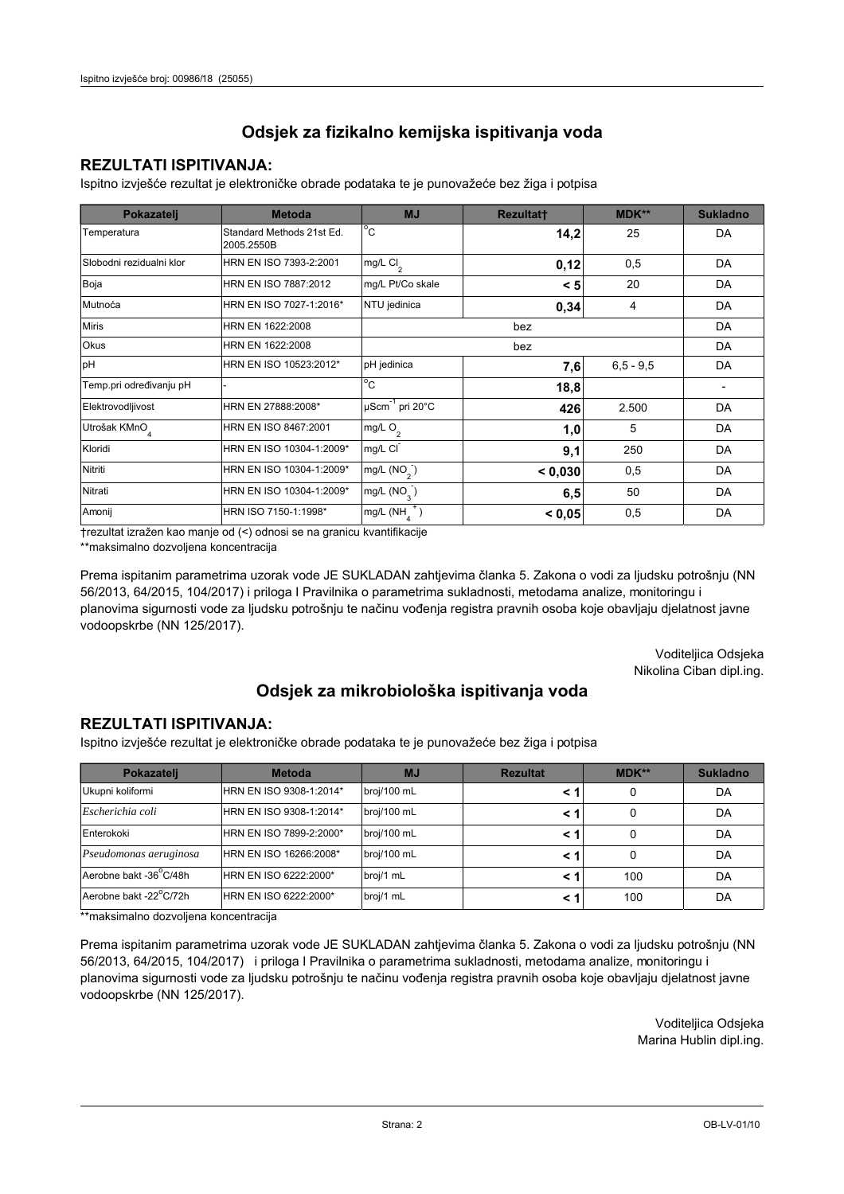## **REZULTATI ISPITIVANJA:**

Ispitno izviešće rezultat je elektroničke obrade podataka te je punovažeće bez žiga i potpisa

| Pokazatelj                | <b>Metoda</b>                           | <b>MJ</b>                            | <b>Rezultatt</b> | <b>MDK**</b> | <b>Sukladno</b> |
|---------------------------|-----------------------------------------|--------------------------------------|------------------|--------------|-----------------|
| Temperatura               | Standard Methods 21st Ed.<br>2005.2550B | $^{\circ}$ C                         | 14,2             | 25           | DA              |
| Slobodni rezidualni klor  | HRN EN ISO 7393-2:2001                  | $mg/L$ Cl <sub>2</sub>               | 0,12             | 0,5          | <b>DA</b>       |
| Boja                      | HRN EN ISO 7887:2012                    | mg/L Pt/Co skale                     | < 5              | 20           | DA              |
| Mutnoća                   | HRN EN ISO 7027-1:2016*                 | NTU jedinica                         | 0,34             | 4            | DA              |
| <b>Miris</b>              | HRN EN 1622:2008                        |                                      | DA               |              |                 |
| <b>Okus</b>               | HRN EN 1622:2008                        |                                      | DA               |              |                 |
| pH                        | HRN EN ISO 10523:2012*                  | pH jedinica                          | 7,6              | $6.5 - 9.5$  | <b>DA</b>       |
| Temp.pri određivanju pH   |                                         | $^{\circ}$ C                         | 18,8             |              |                 |
| Elektrovodljivost         | HRN EN 27888:2008*                      | µScm <sup>-1</sup> pri 20°C          | 426              | 2.500        | DA              |
| Utrošak KMnO <sub>4</sub> | HRN EN ISO 8467:2001                    | mg/L $O2$                            | 1,0              | 5            | DA              |
| Kloridi                   | HRN EN ISO 10304-1:2009*                | mg/L CI                              | 9,1              | 250          | DA              |
| Nitriti                   | HRN EN ISO 10304-1:2009*                | mg/L $(NO2)$                         | < 0,030          | 0,5          | <b>DA</b>       |
| Nitrati                   | HRN EN ISO 10304-1:2009*                | mg/L (NO <sub>3</sub> )<br>50<br>6,5 |                  |              | DA              |
| Amonij                    | HRN ISO 7150-1:1998*                    | mg/L (NH                             | < 0.05           | 0,5          | DA              |

trezultat izražen kao manje od (<) odnosi se na granicu kvantifikacije

\*\*maksimalno dozvoljena koncentracija

Prema ispitanim parametrima uzorak vode JE SUKLADAN zahtjevima članka 5. Zakona o vodi za ljudsku potrošnju (NN 56/2013, 64/2015, 104/2017) i priloga I Pravilnika o parametrima sukladnosti, metodama analize, monitoringu i planovima sigurnosti vode za ljudsku potrošnju te načinu vođenja registra pravnih osoba koje obavljaju djelatnost javne vodoopskrbe (NN 125/2017).

> Voditeljica Odsjeka Nikolina Ciban dipl.ing.

## Odsjek za mikrobiološka ispitivanja voda

### **REZULTATI ISPITIVANJA:**

Ispitno izvješće rezultat je elektroničke obrade podataka te je punovažeće bez žiga i potpisa

| Pokazatelj             | <b>Metoda</b>           | <b>MJ</b>   | <b>Rezultat</b> | MDK** | <b>Sukladno</b> |
|------------------------|-------------------------|-------------|-----------------|-------|-----------------|
| Ukupni koliformi       | HRN EN ISO 9308-1:2014* | broj/100 mL |                 | 0     | DA              |
| Escherichia coli       | HRN EN ISO 9308-1:2014* | broj/100 mL |                 | 0     | DA              |
| Enterokoki             | HRN EN ISO 7899-2:2000* | broj/100 mL |                 | 0     | DA              |
| Pseudomonas aeruginosa | HRN EN ISO 16266:2008*  | broj/100 mL |                 | 0     | DA              |
| Aerobne bakt -36°C/48h | HRN EN ISO 6222:2000*   | broj/1 mL   |                 | 100   | DA              |
| Aerobne bakt -22°C/72h | HRN EN ISO 6222:2000*   | broj/1 mL   |                 | 100   | DA              |

\*\*maksimalno dozvoljena koncentracija

Prema ispitanim parametrima uzorak vode JE SUKLADAN zahtjevima članka 5. Zakona o vodi za ljudsku potrošnju (NN 56/2013, 64/2015, 104/2017) i priloga I Pravilnika o parametrima sukladnosti, metodama analize, monitoringu i planovima sigurnosti vode za ljudsku potrošnju te načinu vođenja registra pravnih osoba koje obavljaju djelatnost javne vodoopskrbe (NN 125/2017).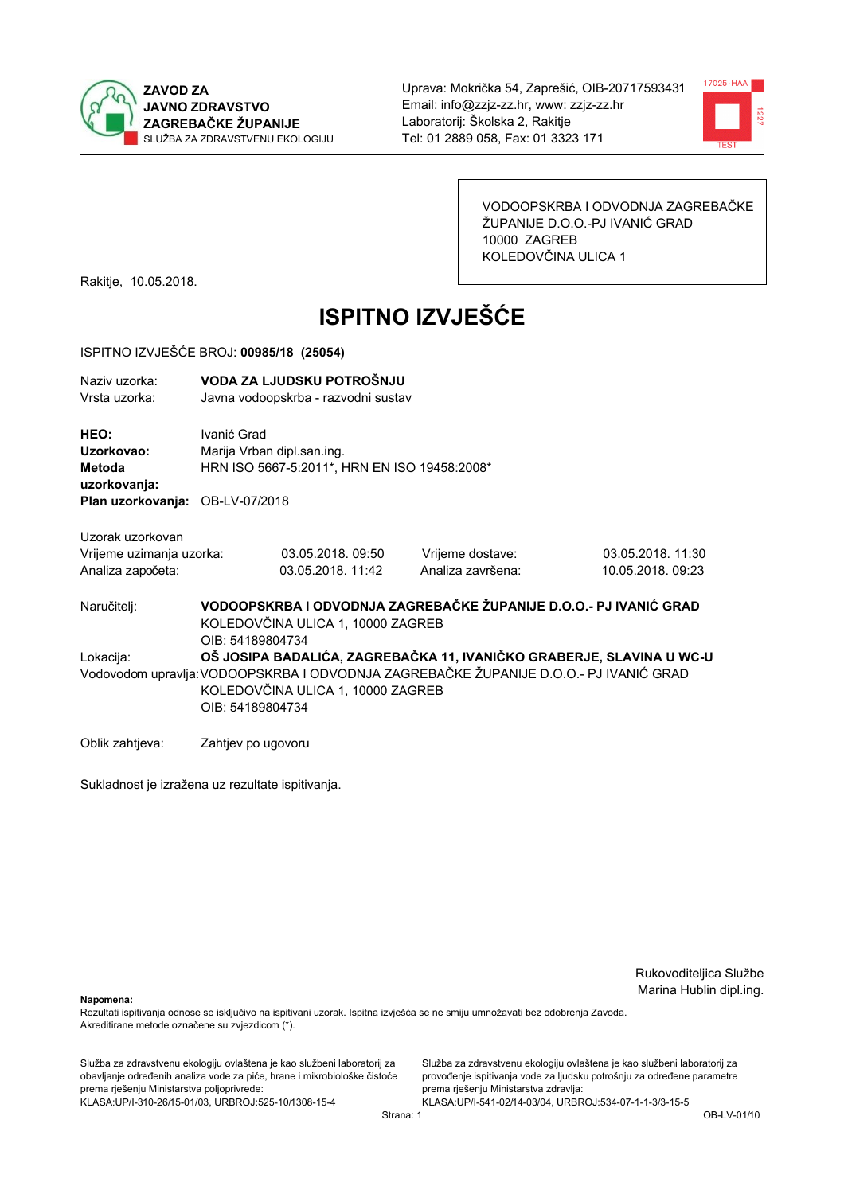



VODOOPSKRBA I ODVODNJA ZAGREBAČKE ŽUPANIJE D.O.O.-PJ IVANIĆ GRAD 10000 ZAGREB KOLEDOVČINA ULICA 1

Rakitje, 10.05.2018.

# **ISPITNO IZVJEŠĆE**

#### ISPITNO IZVJEŠĆE BROJ: 00985/18 (25054)

| Naziy uzorka:<br>Vrsta uzorka:                                                  |                                                                                                                                                                                                                        | VODA ZA LJUDSKU POTROŠNJU<br>Javna vodoopskrba - razvodni sustav           |                                                                   |                                       |  |
|---------------------------------------------------------------------------------|------------------------------------------------------------------------------------------------------------------------------------------------------------------------------------------------------------------------|----------------------------------------------------------------------------|-------------------------------------------------------------------|---------------------------------------|--|
| HEO:<br>Uzorkovao:<br>Metoda<br>uzorkovanja:<br>Plan uzorkovanja: OB-LV-07/2018 | Ivanić Grad                                                                                                                                                                                                            | Marija Vrban dipl.san.ing.<br>HRN ISO 5667-5:2011*, HRN EN ISO 19458:2008* |                                                                   |                                       |  |
| Uzorak uzorkovan<br>Vrijeme uzimanja uzorka:<br>Analiza započeta:               |                                                                                                                                                                                                                        | 03.05.2018.09:50<br>03.05.2018. 11:42                                      | Vrijeme dostave:<br>Analiza završena:                             | 03.05.2018. 11:30<br>10.05.2018.09:23 |  |
| Naručitelj:                                                                     | OIB: 54189804734                                                                                                                                                                                                       | KOLEDOVČINA ULICA 1, 10000 ZAGREB                                          | VODOOPSKRBA I ODVODNJA ZAGREBAČKE ŽUPANIJE D.O.O.- PJ IVANIĆ GRAD |                                       |  |
| Lokacija:                                                                       | OŠ JOSIPA BADALIĆA, ZAGREBAČKA 11, IVANIČKO GRABERJE, SLAVINA U WC-U<br>Vodovodom upravlja: VODOOPSKRBA I ODVODNJA ZAGREBAČKE ŽUPANIJE D.O.O.- PJ IVANIĆ GRAD<br>KOLEDOVČINA ULICA 1, 10000 ZAGREB<br>OIB: 54189804734 |                                                                            |                                                                   |                                       |  |
| Oblik zahtjeva:                                                                 | Zahtjev po ugovoru                                                                                                                                                                                                     |                                                                            |                                                                   |                                       |  |

Sukladnost je izražena uz rezultate ispitivanja.

Rukovoditeljica Službe Marina Hublin dipl.ing.

Napomena:

Rezultati ispitivanja odnose se isključivo na ispitivani uzorak. Ispitna izvješća se ne smiju umnožavati bez odobrenja Zavoda. Akreditirane metode označene su zvjezdicom (\*).

Služba za zdravstvenu ekologiju ovlaštena je kao službeni laboratorij za obavljanje određenih analiza vode za piće, hrane i mikrobiološke čistoće prema rješenju Ministarstva poljoprivrede: KLASA.UP/I-310-26/15-01/03, URBROJ:525-10/1308-15-4

Služba za zdravstvenu ekologiju ovlaštena je kao službeni laboratorij za provođenje ispitivanja vode za ljudsku potrošnju za određene parametre prema rješenju Ministarstva zdravlja: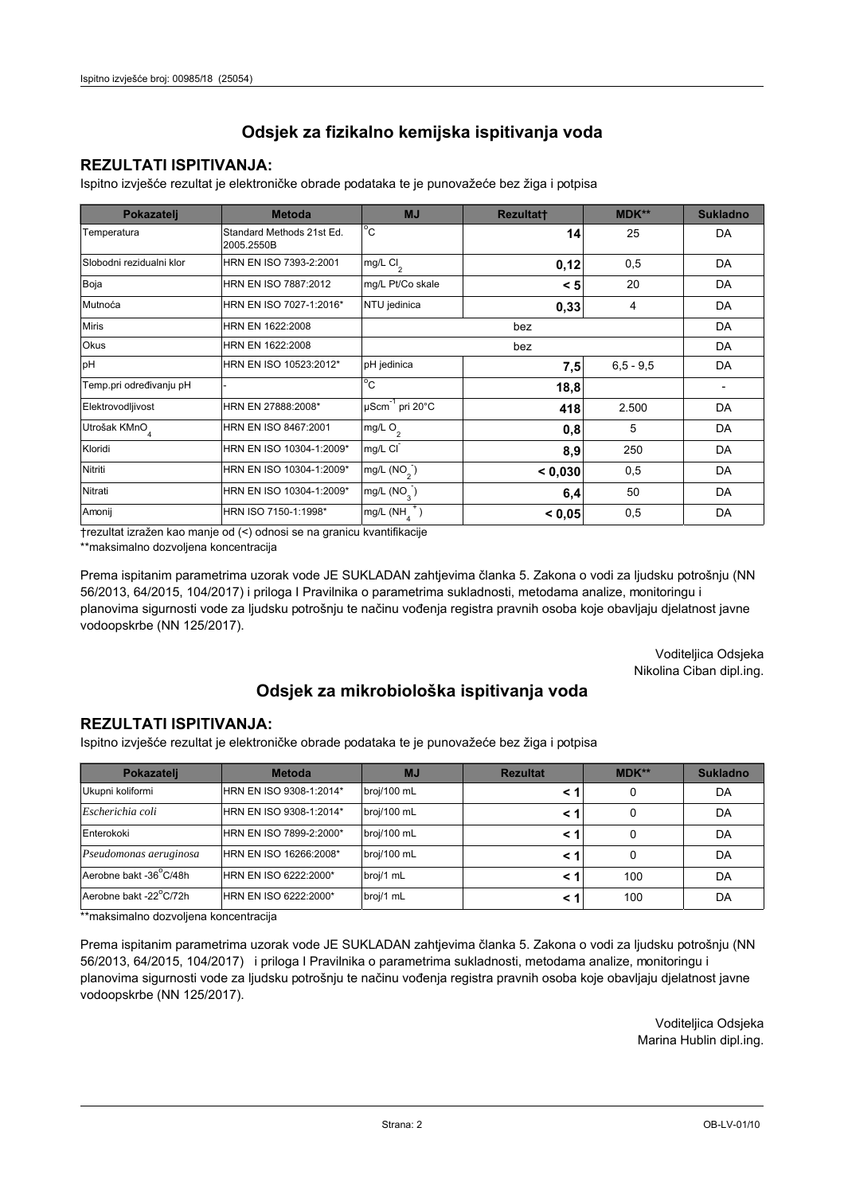## **REZULTATI ISPITIVANJA:**

Ispitno izviešće rezultat je elektroničke obrade podataka te je punovažeće bez žiga i potpisa

| Pokazatelj                | <b>Metoda</b>                           | <b>MJ</b>                            | <b>Rezultatt</b> | <b>MDK**</b>  | <b>Sukladno</b> |
|---------------------------|-----------------------------------------|--------------------------------------|------------------|---------------|-----------------|
| Temperatura               | Standard Methods 21st Ed.<br>2005.2550B | $^{\circ}$ C                         | 14               | 25            | DA              |
| Slobodni rezidualni klor  | HRN EN ISO 7393-2:2001                  | $mg/L$ Cl <sub>2</sub>               | 0,12             | 0,5           | DA              |
| Boja                      | HRN EN ISO 7887:2012                    | mg/L Pt/Co skale                     | < 5              | 20            | DA              |
| Mutnoća                   | HRN EN ISO 7027-1:2016*                 | NTU jedinica                         | 0,33             | 4             | DA              |
| <b>Miris</b>              | HRN EN 1622:2008                        |                                      | DA               |               |                 |
| Okus                      | HRN EN 1622:2008                        |                                      | DA               |               |                 |
| pH                        | HRN EN ISO 10523:2012*                  | pH jedinica                          | 7,5              | $6, 5 - 9, 5$ | DA              |
| Temp.pri određivanju pH   |                                         | $^{\circ}$ C                         | 18,8             |               |                 |
| Elektrovodljivost         | HRN EN 27888:2008*                      | µScm <sup>-1</sup> pri 20°C          | 418              | 2.500         | DA              |
| Utrošak KMnO <sub>4</sub> | HRN EN ISO 8467:2001                    | mg/L O <sub>2</sub>                  | 0,8              | 5             | DA              |
| Kloridi                   | HRN EN ISO 10304-1:2009*                | mg/L CI                              | 8,9              | 250           | DA              |
| Nitriti                   | HRN EN ISO 10304-1:2009*                | mg/L $(NO2)$                         | < 0,030          | 0,5           | DA              |
| Nitrati                   | HRN EN ISO 10304-1:2009*                | mg/L (NO <sub>3</sub> )<br>50<br>6,4 |                  |               | DA              |
| Amonij                    | HRN ISO 7150-1:1998*                    | mg/L (NH                             | < 0.05           | 0,5           | DA              |

trezultat izražen kao manje od (<) odnosi se na granicu kvantifikacije

\*\*maksimalno dozvoljena koncentracija

Prema ispitanim parametrima uzorak vode JE SUKLADAN zahtjevima članka 5. Zakona o vodi za ljudsku potrošnju (NN 56/2013, 64/2015, 104/2017) i priloga I Pravilnika o parametrima sukladnosti, metodama analize, monitoringu i planovima sigurnosti vode za ljudsku potrošnju te načinu vođenja registra pravnih osoba koje obavljaju djelatnost javne vodoopskrbe (NN 125/2017).

> Voditeljica Odsjeka Nikolina Ciban dipl.ing.

## Odsjek za mikrobiološka ispitivanja voda

### **REZULTATI ISPITIVANJA:**

Ispitno izvješće rezultat je elektroničke obrade podataka te je punovažeće bez žiga i potpisa

| Pokazatelj             | <b>Metoda</b>           | <b>MJ</b>   | <b>Rezultat</b> | MDK** | <b>Sukladno</b> |
|------------------------|-------------------------|-------------|-----------------|-------|-----------------|
| Ukupni koliformi       | HRN EN ISO 9308-1:2014* | broj/100 mL |                 | 0     | DA              |
| Escherichia coli       | HRN EN ISO 9308-1:2014* | broj/100 mL |                 | 0     | DA              |
| Enterokoki             | HRN EN ISO 7899-2:2000* | broj/100 mL |                 | 0     | DA              |
| Pseudomonas aeruginosa | HRN EN ISO 16266:2008*  | broj/100 mL |                 | 0     | DA              |
| Aerobne bakt -36°C/48h | HRN EN ISO 6222:2000*   | broj/1 mL   |                 | 100   | DA              |
| Aerobne bakt -22°C/72h | HRN EN ISO 6222:2000*   | broj/1 mL   |                 | 100   | DA              |

\*\*maksimalno dozvoljena koncentracija

Prema ispitanim parametrima uzorak vode JE SUKLADAN zahtjevima članka 5. Zakona o vodi za ljudsku potrošnju (NN 56/2013, 64/2015, 104/2017) i priloga I Pravilnika o parametrima sukladnosti, metodama analize, monitoringu i planovima sigurnosti vode za ljudsku potrošnju te načinu vođenja registra pravnih osoba koje obavljaju djelatnost javne vodoopskrbe (NN 125/2017).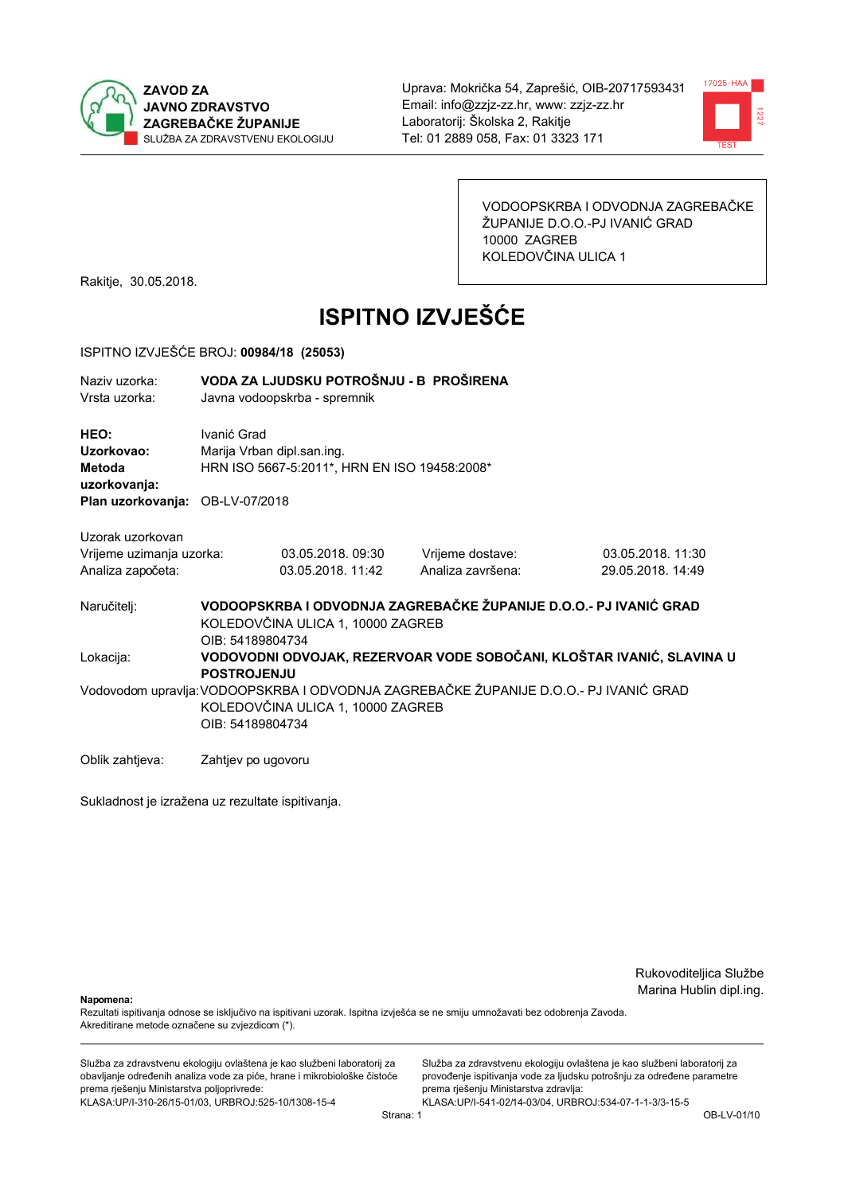



VODOOPSKRBA I ODVODNJA ZAGREBAČKE ŽUPANIJE D.O.O.-PJ IVANIĆ GRAD 10000 ZAGREB KOLEDOVČINA ULICA 1

Rakitje, 30.05.2018.

# **ISPITNO IZVJEŠĆE**

#### ISPITNO IZVJEŠĆE BROJ: 00984/18 (25053)

| Naziv uzorka:<br>Vrsta uzorka:                                                         |                                        | VODA ZA LJUDSKU POTROŠNJU - B PROŠIRENA<br>Javna vodoopskrba - spremnik                                                                                                                             |                                                                                      |                                        |  |  |  |
|----------------------------------------------------------------------------------------|----------------------------------------|-----------------------------------------------------------------------------------------------------------------------------------------------------------------------------------------------------|--------------------------------------------------------------------------------------|----------------------------------------|--|--|--|
| <b>HEO:</b><br>Uzorkovao:<br>Metoda<br>uzorkovanja:<br>Plan uzorkovanja: OB-LV-07/2018 | Ivanić Grad                            | Marija Vrban dipl.san.ing.<br>HRN ISO 5667-5:2011*, HRN EN ISO 19458:2008*                                                                                                                          |                                                                                      |                                        |  |  |  |
| Uzorak uzorkovan<br>Vrijeme uzimanja uzorka:<br>Analiza započeta:                      |                                        | 03.05.2018.09:30<br>03.05.2018. 11:42                                                                                                                                                               | Vrijeme dostave:<br>Analiza završena:                                                | 03.05.2018. 11:30<br>29.05.2018. 14:49 |  |  |  |
| Naručitelj:<br>Lokacija:                                                               |                                        | VODOOPSKRBA I ODVODNJA ZAGREBAČKE ŽUPANIJE D.O.O.- PJ IVANIĆ GRAD<br>KOLEDOVČINA ULICA 1, 10000 ZAGREB<br>OIB: 54189804734<br>VODOVODNI ODVOJAK, REZERVOAR VODE SOBOČANI, KLOŠTAR IVANIĆ, SLAVINA U |                                                                                      |                                        |  |  |  |
|                                                                                        | <b>POSTROJENJU</b><br>OIB: 54189804734 | KOLEDOVČINA ULICA 1, 10000 ZAGREB                                                                                                                                                                   | Vodovodom upravlja:VODOOPSKRBA I ODVODNJA ZAGREBAČKE ŽUPANIJE D.O.O.- PJ IVANIĆ GRAD |                                        |  |  |  |

Oblik zahtieva: Zahtiev po ugovoru

Sukladnost je izražena uz rezultate ispitivanja.

Rukovoditeljica Službe Marina Hublin dipl.ing.

Napomena:

Rezultati ispitivanja odnose se isključivo na ispitivani uzorak. Ispitna izvješća se ne smiju umnožavati bez odobrenja Zavoda. Akreditirane metode označene su zvjezdicom (\*).

Služba za zdravstvenu ekologiju ovlaštena je kao službeni laboratorij za obavljanje određenih analiza vode za piće, hrane i mikrobiološke čistoće prema rješenju Ministarstva poljoprivrede: KLASA.UP/I-310-26/15-01/03, URBROJ:525-10/1308-15-4

Služba za zdravstvenu ekologiju ovlaštena je kao službeni laboratorij za provođenje ispitivanja vode za ljudsku potrošnju za određene parametre prema rješenju Ministarstva zdravlja: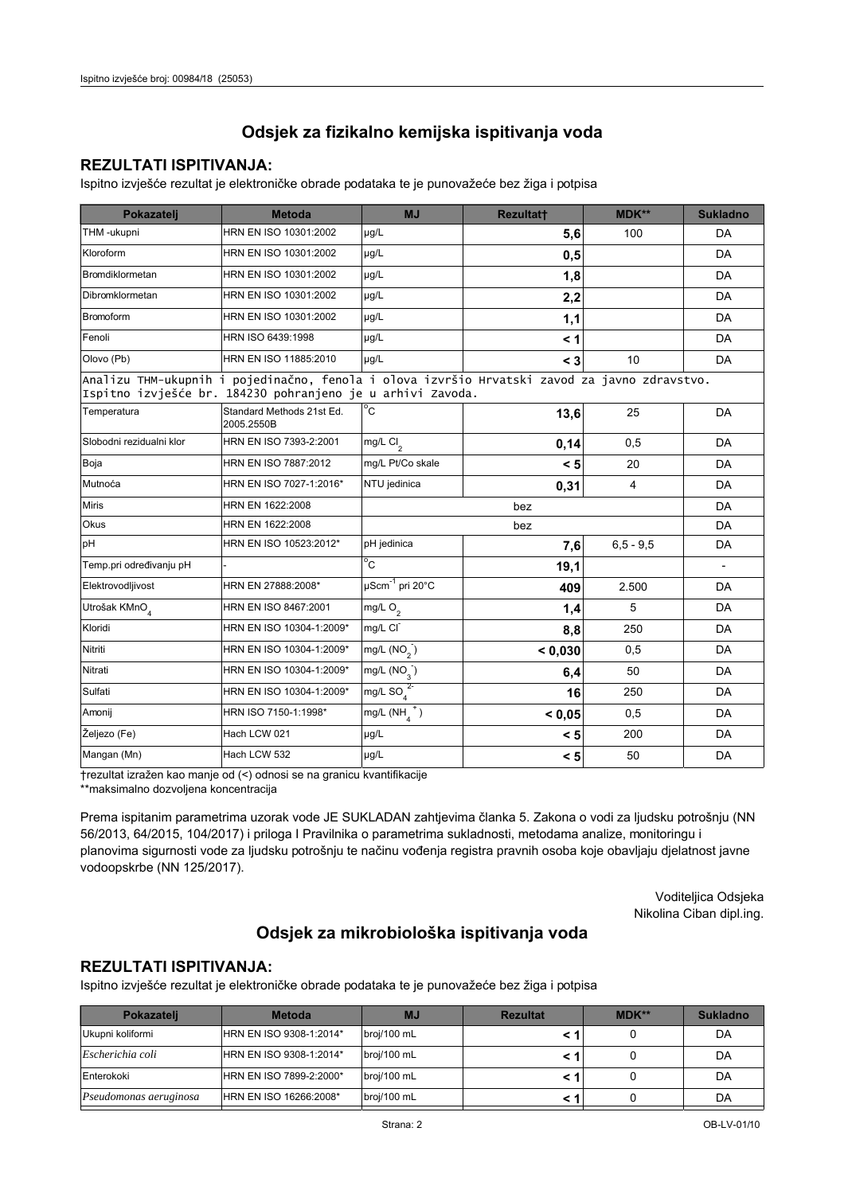### **REZULTATI ISPITIVANJA:**

Ispitno izvješće rezultat je elektroničke obrade podataka te je punovažeće bez žiga i potpisa

| Pokazatelj                                                                                                                                                 | <b>Metoda</b>                           | <b>MJ</b>                 | <b>Rezultatt</b> | MDK**       | <b>Sukladno</b>          |  |  |
|------------------------------------------------------------------------------------------------------------------------------------------------------------|-----------------------------------------|---------------------------|------------------|-------------|--------------------------|--|--|
| THM -ukupni                                                                                                                                                | HRN EN ISO 10301:2002                   | µg/L                      | 5,6              | 100         | DA                       |  |  |
| Kloroform                                                                                                                                                  | HRN EN ISO 10301:2002                   | µg/L                      | 0,5              |             | DA                       |  |  |
| Bromdiklormetan                                                                                                                                            | HRN EN ISO 10301:2002                   | $\mu q/L$                 | 1,8              |             | DA                       |  |  |
| Dibromklormetan                                                                                                                                            | HRN EN ISO 10301:2002                   | µg/L                      | 2,2              |             | DA                       |  |  |
| <b>Bromoform</b>                                                                                                                                           | HRN EN ISO 10301:2002                   | µg/L                      | 1,1              |             | DA                       |  |  |
| Fenoli                                                                                                                                                     | HRN ISO 6439:1998                       | µg/L                      | $\leq 1$         |             | DA                       |  |  |
| Olovo (Pb)                                                                                                                                                 | HRN EN ISO 11885:2010                   | µg/L                      | $\leq 3$         | 10          | DA                       |  |  |
| Analizu THM-ukupnih i pojedinačno, fenola i olova izvršio Hrvatski zavod za javno zdravstvo.<br>Ispitno izvješće br. 184230 pohranjeno je u arhivi Zavoda. |                                         |                           |                  |             |                          |  |  |
| Temperatura                                                                                                                                                | Standard Methods 21st Ed.<br>2005.2550B | $^{\circ}$ C              | 13,6             | 25          | DA                       |  |  |
| Slobodni rezidualni klor                                                                                                                                   | HRN EN ISO 7393-2:2001                  | mg/L $Cl_2$               | 0,14             | 0,5         | DA                       |  |  |
| Boja                                                                                                                                                       | HRN EN ISO 7887:2012                    | mg/L Pt/Co skale          | < 5              | 20          | DA                       |  |  |
| Mutnoća                                                                                                                                                    | HRN EN ISO 7027-1:2016*                 | NTU jedinica              | 0,31             | 4           | DA                       |  |  |
| <b>Miris</b>                                                                                                                                               | HRN EN 1622:2008                        |                           | bez              |             | DA                       |  |  |
| <b>Okus</b>                                                                                                                                                | HRN EN 1622:2008                        |                           | bez              |             | DA                       |  |  |
| pH                                                                                                                                                         | HRN EN ISO 10523:2012*                  | pH jedinica               | 7,6              | $6.5 - 9.5$ | DA                       |  |  |
| Temp.pri određivanju pH                                                                                                                                    |                                         | $^{\circ}$ C              | 19,1             |             | $\overline{\phantom{a}}$ |  |  |
| Elektrovodljivost                                                                                                                                          | HRN EN 27888:2008*                      | µScm-1 pri 20°C           | 409              | 2.500       | DA                       |  |  |
| Utrošak KMnO <sub>4</sub>                                                                                                                                  | HRN EN ISO 8467:2001                    | mg/L $O_2$                | 1,4              | 5           | DA                       |  |  |
| Kloridi                                                                                                                                                    | HRN EN ISO 10304-1:2009*                | mg/L CI                   | 8,8              | 250         | DA                       |  |  |
| Nitriti                                                                                                                                                    | HRN EN ISO 10304-1:2009*                | mg/L $(NO2)$              | < 0,030          | 0,5         | DA                       |  |  |
| Nitrati                                                                                                                                                    | HRN EN ISO 10304-1:2009*                | $mg/L$ (NO <sub>2</sub> ) | 6,4              | 50          | DA                       |  |  |
| Sulfati                                                                                                                                                    | HRN EN ISO 10304-1:2009*                | mg/L SO $_4^{2}$          | 16               | 250         | DA                       |  |  |
| Amonij                                                                                                                                                     | HRN ISO 7150-1:1998*                    | mg/L $(NH_4^+)$           | < 0.05           | 0,5         | DA                       |  |  |
| Željezo (Fe)                                                                                                                                               | Hach LCW 021                            | µg/L                      | < 5              | 200         | DA                       |  |  |
| Mangan (Mn)                                                                                                                                                | Hach LCW 532                            | µg/L                      | < 5              | 50          | DA                       |  |  |

trezultat izražen kao manje od (<) odnosi se na granicu kvantifikacije

\*\*maksimalno dozvoljena koncentracija

Prema ispitanim parametrima uzorak vode JE SUKLADAN zahtjevima članka 5. Zakona o vodi za ljudsku potrošnju (NN 56/2013, 64/2015, 104/2017) i priloga I Pravilnika o parametrima sukladnosti, metodama analize, monitoringu i planovima sigurnosti vode za ljudsku potrošnju te načinu vođenja registra pravnih osoba koje obavljaju djelatnost javne vodoopskrbe (NN 125/2017).

> Voditeljica Odsjeka Nikolina Ciban dipl.ing.

## Odsjek za mikrobiološka ispitivanja voda

## **REZULTATI ISPITIVANJA:**

Ispitno izvješće rezultat je elektroničke obrade podataka te je punovažeće bez žiga i potpisa

| Pokazateli                    | <b>Metoda</b>           | <b>MJ</b>   | <b>Rezultat</b> | MDK** | <b>Sukladno</b> |
|-------------------------------|-------------------------|-------------|-----------------|-------|-----------------|
| Ukupni koliformi              | HRN EN ISO 9308-1:2014* | broj/100 mL |                 |       | DA              |
| Escherichia coli              | HRN EN ISO 9308-1:2014* | broj/100 mL |                 |       | DA              |
| Enterokoki                    | HRN EN ISO 7899-2:2000* | broj/100 mL |                 |       | DA              |
| <i>Pseudomonas aeruginosa</i> | HRN EN ISO 16266:2008*  | broj/100 mL |                 |       | DA              |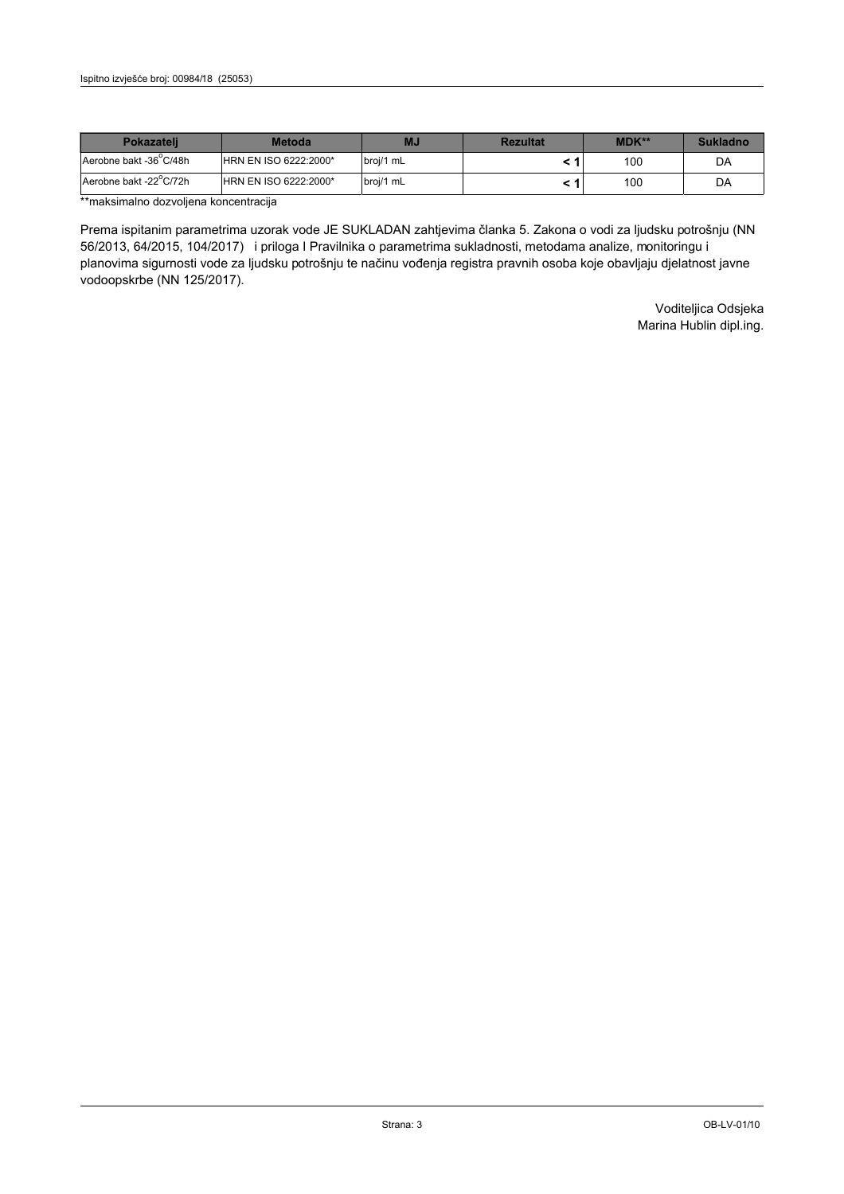| <b>Pokazateli</b>      | <b>Metoda</b>                | ΜJ        | <b>Rezultat</b> | <b>MDK**</b> | <b>Sukladno</b> |
|------------------------|------------------------------|-----------|-----------------|--------------|-----------------|
| Aerobne bakt -36 C/48h | <b>HRN EN ISO 6222:2000*</b> | broj/1 mL |                 | 100          | DA              |
| Aerobne bakt -22 C/72h | <b>HRN EN ISO 6222:2000*</b> | broj/1 mL |                 | 100          | DA              |

\*\*maksimalno dozvoljena koncentracija

Prema ispitanim parametrima uzorak vode JE SUKLADAN zahtjevima članka 5. Zakona o vodi za ljudsku potrošnju (NN 56/2013, 64/2015, 104/2017) i priloga I Pravilnika o parametrima sukladnosti, metodama analize, monitoringu i planovima sigurnosti vode za ljudsku potrošnju te načinu vođenja registra pravnih osoba koje obavljaju djelatnost javne vodoopskrbe (NN 125/2017).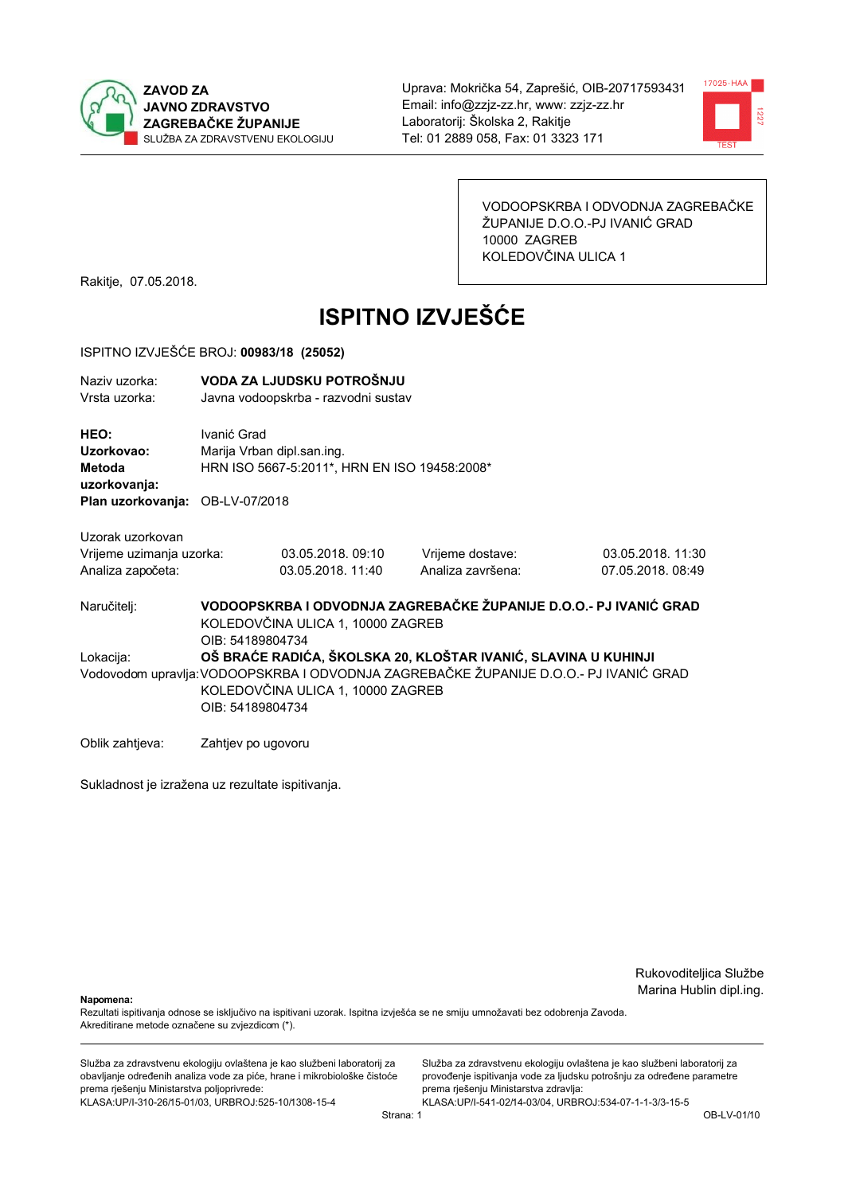



VODOOPSKRBA I ODVODNJA ZAGREBAČKE ŽUPANIJE D.O.O.-PJ IVANIĆ GRAD 10000 ZAGREB KOLEDOVČINA ULICA 1

Rakitje, 07.05.2018.

# **ISPITNO IZVJEŠĆE**

#### ISPITNO IZVJEŠĆE BROJ: 00983/18 (25052)

| Naziy uzorka:<br>Vrsta uzorka:                                                  | VODA ZA LJUDSKU POTROŠNJU<br>Javna vodoopskrba - razvodni sustav                                                                                                                                                 |                                       |                                       |                                       |  |  |
|---------------------------------------------------------------------------------|------------------------------------------------------------------------------------------------------------------------------------------------------------------------------------------------------------------|---------------------------------------|---------------------------------------|---------------------------------------|--|--|
| HEO:<br>Uzorkovao:<br>Metoda<br>uzorkovanja:<br>Plan uzorkovanja: OB-LV-07/2018 | Ivanić Grad<br>Marija Vrban dipl.san.ing.<br>HRN ISO 5667-5:2011*, HRN EN ISO 19458:2008*                                                                                                                        |                                       |                                       |                                       |  |  |
| Uzorak uzorkovan<br>Vrijeme uzimanja uzorka:<br>Analiza započeta:               |                                                                                                                                                                                                                  | 03.05.2018.09:10<br>03.05.2018. 11:40 | Vrijeme dostave:<br>Analiza završena: | 03.05.2018. 11:30<br>07.05.2018.08:49 |  |  |
| Naručitelj:                                                                     | VODOOPSKRBA I ODVODNJA ZAGREBAČKE ŽUPANIJE D.O.O.- PJ IVANIĆ GRAD<br>KOLEDOVČINA ULICA 1, 10000 ZAGREB<br>OIB: 54189804734                                                                                       |                                       |                                       |                                       |  |  |
| Lokacija:                                                                       | OŠ BRAĆE RADIĆA, ŠKOLSKA 20, KLOŠTAR IVANIĆ, SLAVINA U KUHINJI<br>Vodovodom upravlja: VODOOPSKRBA I ODVODNJA ZAGREBAČKE ŽUPANIJE D.O.O.- PJ IVANIĆ GRAD<br>KOLEDOVČINA ULICA 1, 10000 ZAGREB<br>OIB: 54189804734 |                                       |                                       |                                       |  |  |
| Oblik zahtjeva:                                                                 |                                                                                                                                                                                                                  | Zahtjev po ugovoru                    |                                       |                                       |  |  |

Sukladnost je izražena uz rezultate ispitivanja.

Rukovoditeljica Službe Marina Hublin dipl.ing.

Napomena:

Rezultati ispitivanja odnose se isključivo na ispitivani uzorak. Ispitna izvješća se ne smiju umnožavati bez odobrenja Zavoda. Akreditirane metode označene su zvjezdicom (\*).

Služba za zdravstvenu ekologiju ovlaštena je kao službeni laboratorij za obavljanje određenih analiza vode za piće, hrane i mikrobiološke čistoće prema rješenju Ministarstva poljoprivrede: KLASA.UP/I-310-26/15-01/03, URBROJ:525-10/1308-15-4

Služba za zdravstvenu ekologiju ovlaštena je kao službeni laboratorij za provođenje ispitivanja vode za ljudsku potrošnju za određene parametre prema rješenju Ministarstva zdravlja: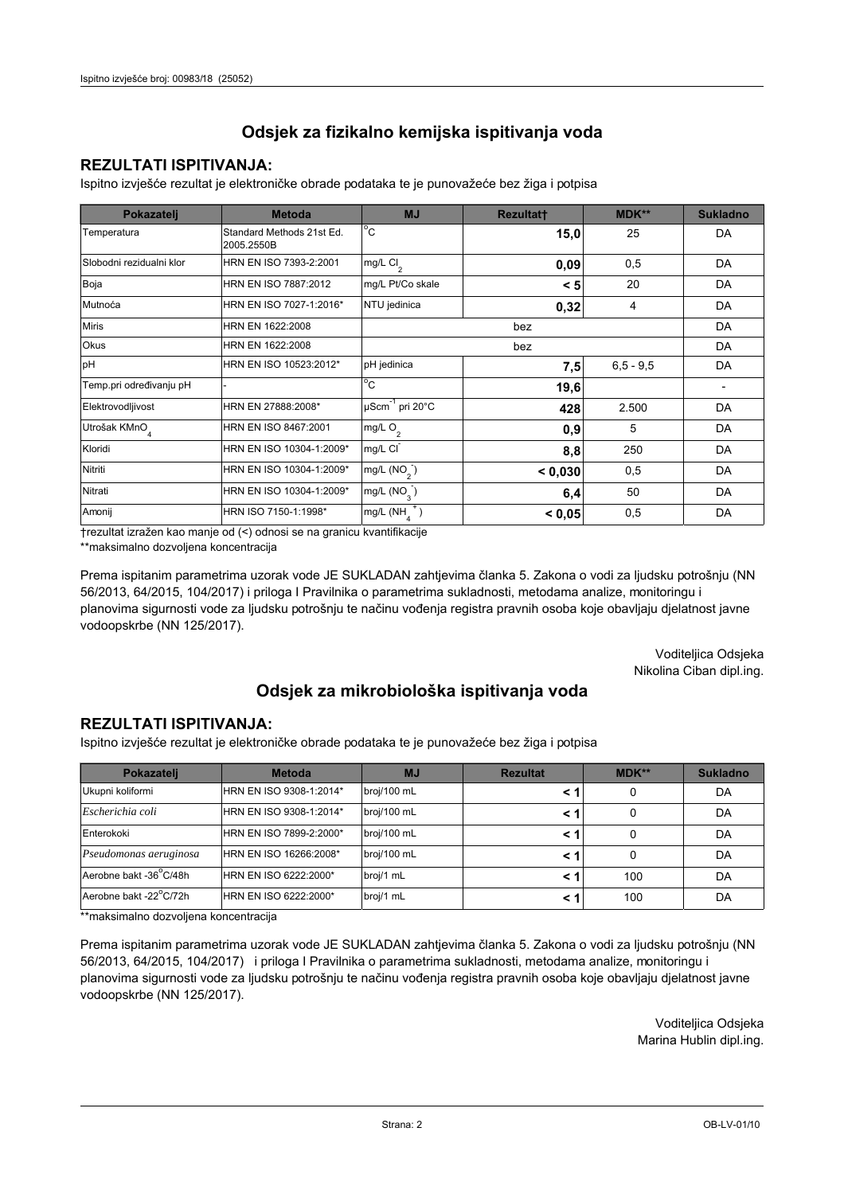## **REZULTATI ISPITIVANJA:**

Ispitno izviešće rezultat je elektroničke obrade podataka te je punovažeće bez žiga i potpisa

| Pokazatelj                | <b>Metoda</b>                           | <b>MJ</b>                                 | <b>Rezultatt</b> | <b>MDK**</b>  | <b>Sukladno</b> |
|---------------------------|-----------------------------------------|-------------------------------------------|------------------|---------------|-----------------|
| Temperatura               | Standard Methods 21st Ed.<br>2005.2550B | $^{\circ}$ C                              | 15,0             | 25            | DA              |
| Slobodni rezidualni klor  | HRN EN ISO 7393-2:2001                  | $mg/L$ Cl <sub>2</sub>                    | 0,09             | 0,5           | DA              |
| Boja                      | HRN EN ISO 7887:2012                    | mg/L Pt/Co skale                          | < 5              | 20            | DA              |
| Mutnoća                   | HRN EN ISO 7027-1:2016*                 | NTU jedinica                              | 0,32             | 4             | DA              |
| <b>Miris</b>              | HRN EN 1622:2008                        |                                           |                  | DA            |                 |
| Okus                      | HRN EN 1622:2008                        |                                           |                  | DA            |                 |
| pH                        | HRN EN ISO 10523:2012*                  | pH jedinica                               | 7,5              | $6, 5 - 9, 5$ | DA              |
| Temp.pri određivanju pH   |                                         | $^{\circ}$ C                              | 19,6             |               |                 |
| Elektrovodljivost         | HRN EN 27888:2008*                      | $\mu$ Scm <sup>-1</sup> pri 20°C          | 428              | 2.500         | DA              |
| Utrošak KMnO <sub>4</sub> | HRN EN ISO 8467:2001                    | mg/L $O_2$                                | 0,9              | 5             | DA              |
| Kloridi                   | HRN EN ISO 10304-1:2009*                | mg/L CI<br>250<br>8,8                     |                  |               | DA              |
| Nitriti                   | HRN EN ISO 10304-1:2009*                | mg/L (NO <sub>2</sub> )<br>< 0.030<br>0,5 |                  |               | DA              |
| Nitrati                   | HRN EN ISO 10304-1:2009*                | mg/L $(NO3)$                              | 50<br>6,4        |               | DA              |
| Amonij                    | HRN ISO 7150-1:1998*                    | mg/L (NH                                  | < 0.05           | 0,5           | DA              |

trezultat izražen kao manje od (<) odnosi se na granicu kvantifikacije

\*\*maksimalno dozvoljena koncentracija

Prema ispitanim parametrima uzorak vode JE SUKLADAN zahtjevima članka 5. Zakona o vodi za ljudsku potrošnju (NN 56/2013, 64/2015, 104/2017) i priloga I Pravilnika o parametrima sukladnosti, metodama analize, monitoringu i planovima sigurnosti vode za ljudsku potrošnju te načinu vođenja registra pravnih osoba koje obavljaju djelatnost javne vodoopskrbe (NN 125/2017).

> Voditeljica Odsjeka Nikolina Ciban dipl.ing.

## Odsjek za mikrobiološka ispitivanja voda

### **REZULTATI ISPITIVANJA:**

Ispitno izvješće rezultat je elektroničke obrade podataka te je punovažeće bez žiga i potpisa

| Pokazatelj             | <b>Metoda</b>           | <b>MJ</b>   | <b>Rezultat</b> | MDK** | <b>Sukladno</b> |
|------------------------|-------------------------|-------------|-----------------|-------|-----------------|
| Ukupni koliformi       | HRN EN ISO 9308-1:2014* | broj/100 mL |                 | 0     | DA              |
| Escherichia coli       | HRN EN ISO 9308-1:2014* | broj/100 mL |                 | 0     | DA              |
| Enterokoki             | HRN EN ISO 7899-2:2000* | broj/100 mL |                 | 0     | DA              |
| Pseudomonas aeruginosa | HRN EN ISO 16266:2008*  | broj/100 mL | < 1             | 0     | DA              |
| Aerobne bakt -36 C/48h | HRN EN ISO 6222:2000*   | broj/1 mL   |                 | 100   | DA              |
| Aerobne bakt -22°C/72h | HRN EN ISO 6222:2000*   | broj/1 mL   |                 | 100   | DA              |

\*\*maksimalno dozvoljena koncentracija

Prema ispitanim parametrima uzorak vode JE SUKLADAN zahtjevima članka 5. Zakona o vodi za ljudsku potrošnju (NN 56/2013, 64/2015, 104/2017) i priloga I Pravilnika o parametrima sukladnosti, metodama analize, monitoringu i planovima sigurnosti vode za ljudsku potrošnju te načinu vođenja registra pravnih osoba koje obavljaju djelatnost javne vodoopskrbe (NN 125/2017).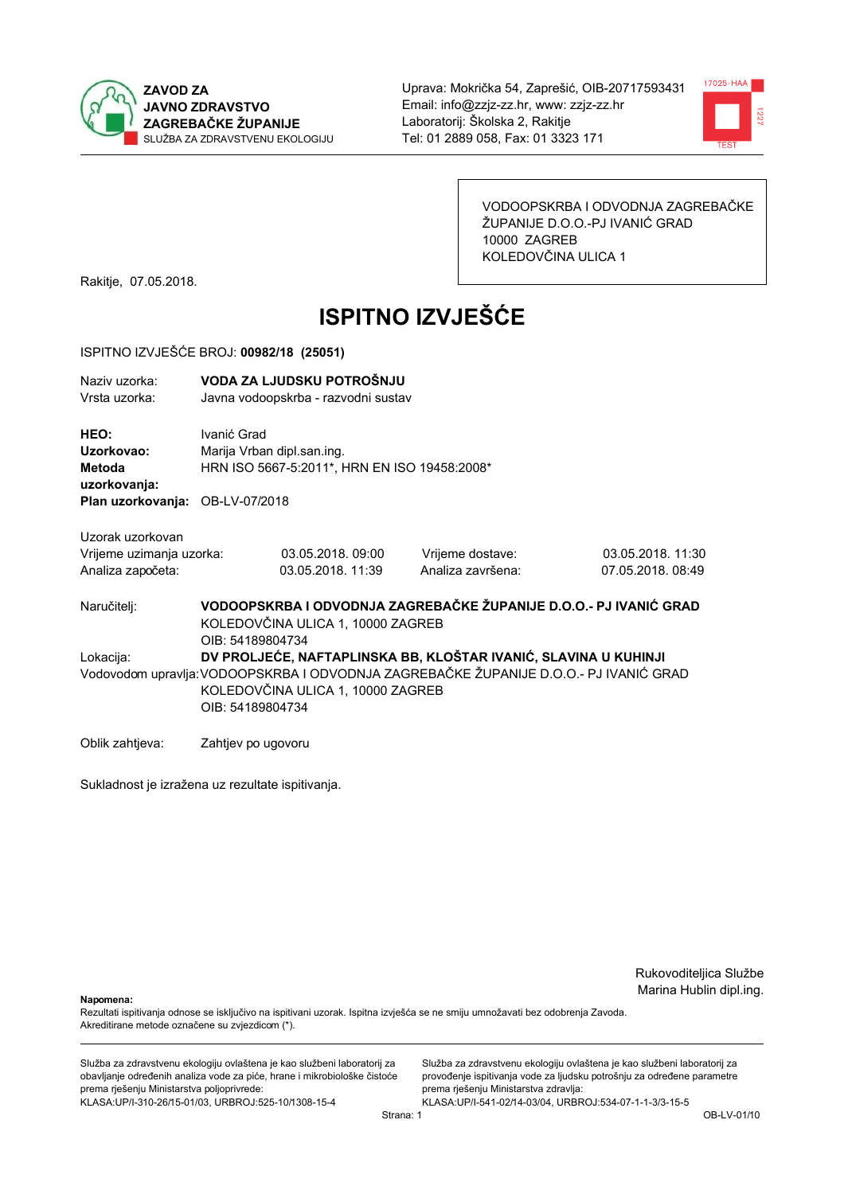



VODOOPSKRBA I ODVODNJA ZAGREBAČKE ŽUPANIJE D.O.O.-PJ IVANIĆ GRAD 10000 ZAGREB KOLEDOVČINA ULICA 1

Rakitje, 07.05.2018.

# **ISPITNO IZVJEŠĆE**

#### ISPITNO IZVJEŠĆE BROJ: 00982/18 (25051)

| Naziv uzorka:<br>Vrsta uzorka:                |                                                                                                                                                                                                                  | VODA ZA LJUDSKU POTROŠNJU<br>Javna vodoopskrba - razvodni sustav                                                           |                                       |                                       |  |  |  |
|-----------------------------------------------|------------------------------------------------------------------------------------------------------------------------------------------------------------------------------------------------------------------|----------------------------------------------------------------------------------------------------------------------------|---------------------------------------|---------------------------------------|--|--|--|
| HEO:<br>Uzorkovao:<br>Metoda<br>uzorkovanja:  | Ivanić Grad                                                                                                                                                                                                      | Marija Vrban dipl.san.ing.<br>HRN ISO 5667-5:2011*, HRN EN ISO 19458:2008*                                                 |                                       |                                       |  |  |  |
| Plan uzorkovanja: OB-LV-07/2018               |                                                                                                                                                                                                                  |                                                                                                                            |                                       |                                       |  |  |  |
| Uzorak uzorkovan                              |                                                                                                                                                                                                                  |                                                                                                                            |                                       |                                       |  |  |  |
| Vrijeme uzimanja uzorka:<br>Analiza započeta: |                                                                                                                                                                                                                  | 03.05.2018, 09:00<br>03.05.2018. 11:39                                                                                     | Vrijeme dostave:<br>Analiza završena: | 03.05.2018. 11:30<br>07.05.2018.08:49 |  |  |  |
| Naručitelj:                                   |                                                                                                                                                                                                                  | VODOOPSKRBA I ODVODNJA ZAGREBAČKE ŽUPANIJE D.O.O.- PJ IVANIĆ GRAD<br>KOLEDOVČINA ULICA 1, 10000 ZAGREB<br>OIB: 54189804734 |                                       |                                       |  |  |  |
| Lokacija:                                     | DV PROLJEĆE, NAFTAPLINSKA BB, KLOŠTAR IVANIĆ, SLAVINA U KUHINJI<br>Vodovodom upravlja:VODOOPSKRBA I ODVODNJA ZAGREBAČKE ŽUPANIJE D.O.O.- PJ IVANIĆ GRAD<br>KOLEDOVČINA ULICA 1, 10000 ZAGREB<br>OIB: 54189804734 |                                                                                                                            |                                       |                                       |  |  |  |
| Oblik zahtjeva:                               | Zahtjev po ugovoru                                                                                                                                                                                               |                                                                                                                            |                                       |                                       |  |  |  |

Sukladnost je izražena uz rezultate ispitivanja.

Rukovoditeljica Službe Marina Hublin dipl.ing.

Napomena:

Rezultati ispitivanja odnose se isključivo na ispitivani uzorak. Ispitna izvješća se ne smiju umnožavati bez odobrenja Zavoda. Akreditirane metode označene su zvjezdicom (\*).

Služba za zdravstvenu ekologiju ovlaštena je kao službeni laboratorij za obavljanje određenih analiza vode za piće, hrane i mikrobiološke čistoće prema rješenju Ministarstva poljoprivrede: KLASA.UP/I-310-26/15-01/03, URBROJ:525-10/1308-15-4

Služba za zdravstvenu ekologiju ovlaštena je kao službeni laboratorij za provođenje ispitivanja vode za ljudsku potrošnju za određene parametre prema rješenju Ministarstva zdravlja: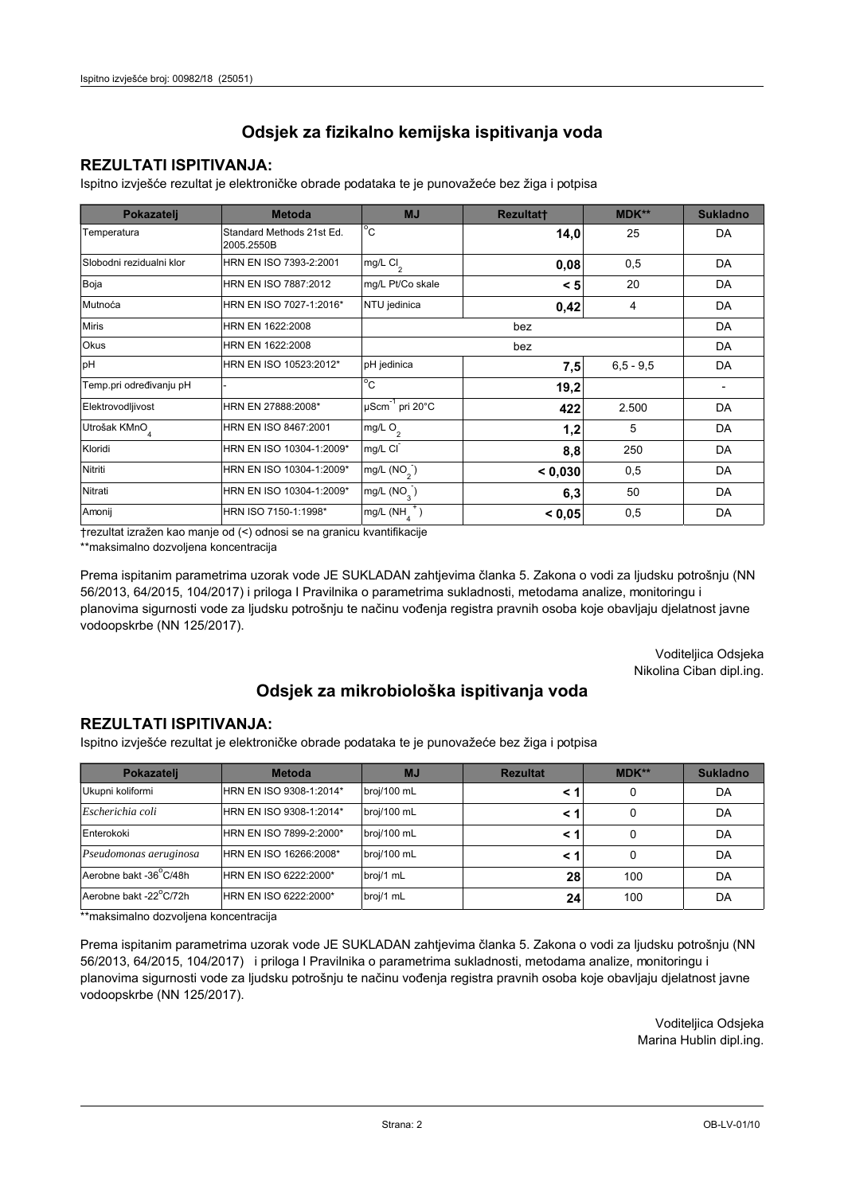## **REZULTATI ISPITIVANJA:**

Ispitno izviešće rezultat je elektroničke obrade podataka te je punovažeće bez žiga i potpisa

| Pokazatelj                | <b>Metoda</b>                           | <b>MJ</b>                   | <b>Rezultatt</b> | <b>MDK**</b>  | <b>Sukladno</b> |
|---------------------------|-----------------------------------------|-----------------------------|------------------|---------------|-----------------|
| Temperatura               | Standard Methods 21st Ed.<br>2005.2550B | $^{\circ}$ C                | 14,0             | 25            | DA              |
| Slobodni rezidualni klor  | HRN EN ISO 7393-2:2001                  | $mg/L$ Cl <sub>2</sub>      | 0,08             | 0,5           | DA              |
| Boja                      | HRN EN ISO 7887:2012                    | mg/L Pt/Co skale            | < 5              | 20            | DA              |
| Mutnoća                   | HRN EN ISO 7027-1:2016*                 | NTU jedinica                | 0,42             | 4             | DA              |
| <b>Miris</b>              | HRN EN 1622:2008                        |                             |                  | DA            |                 |
| Okus                      | HRN EN 1622:2008                        |                             |                  | DA            |                 |
| pH                        | HRN EN ISO 10523:2012*                  | pH jedinica                 | 7,5              | $6, 5 - 9, 5$ | DA              |
| Temp.pri određivanju pH   |                                         | $^{\circ}$ C                | 19,2             |               |                 |
| Elektrovodljivost         | HRN EN 27888:2008*                      | µScm <sup>-1</sup> pri 20°C | 422              | 2.500         | DA              |
| Utrošak KMnO <sub>4</sub> | HRN EN ISO 8467:2001                    | mg/L O <sub>2</sub>         | 1,2              | 5             | DA              |
| Kloridi                   | HRN EN ISO 10304-1:2009*                | mg/L CI                     | 8,8              | 250           | DA              |
| Nitriti                   | HRN EN ISO 10304-1:2009*                | mg/L (NO <sub>2</sub> )     | < 0.030          | 0,5           | DA              |
| Nitrati                   | HRN EN ISO 10304-1:2009*                | mg/L $(NO_3)$               | 6,3              | 50            | DA              |
| Amonij                    | HRN ISO 7150-1:1998*                    | mg/L (NH                    | 0,5<br>< 0.05    |               | DA              |

trezultat izražen kao manje od (<) odnosi se na granicu kvantifikacije

\*\*maksimalno dozvoljena koncentracija

Prema ispitanim parametrima uzorak vode JE SUKLADAN zahtjevima članka 5. Zakona o vodi za ljudsku potrošnju (NN 56/2013, 64/2015, 104/2017) i priloga I Pravilnika o parametrima sukladnosti, metodama analize, monitoringu i planovima sigurnosti vode za ljudsku potrošnju te načinu vođenja registra pravnih osoba koje obavljaju djelatnost javne vodoopskrbe (NN 125/2017).

> Voditeljica Odsjeka Nikolina Ciban dipl.ing.

## Odsjek za mikrobiološka ispitivanja voda

### **REZULTATI ISPITIVANJA:**

Ispitno izvješće rezultat je elektroničke obrade podataka te je punovažeće bez žiga i potpisa

| Pokazatelj             | <b>Metoda</b>           | <b>MJ</b>   | <b>Rezultat</b> | MDK** | <b>Sukladno</b> |
|------------------------|-------------------------|-------------|-----------------|-------|-----------------|
| Ukupni koliformi       | HRN EN ISO 9308-1:2014* | broj/100 mL |                 | 0     | DA              |
| Escherichia coli       | HRN EN ISO 9308-1:2014* | broj/100 mL |                 | 0     | DA              |
| Enterokoki             | HRN EN ISO 7899-2:2000* | broj/100 mL |                 | 0     | DA              |
| Pseudomonas aeruginosa | HRN EN ISO 16266:2008*  | broj/100 mL | < 1             | 0     | DA              |
| Aerobne bakt -36 C/48h | HRN EN ISO 6222:2000*   | broj/1 mL   | 28              | 100   | DA              |
| Aerobne bakt -22°C/72h | HRN EN ISO 6222:2000*   | broj/1 mL   | 24 <sub>1</sub> | 100   | DA              |

\*\*maksimalno dozvoljena koncentracija

Prema ispitanim parametrima uzorak vode JE SUKLADAN zahtjevima članka 5. Zakona o vodi za ljudsku potrošnju (NN 56/2013, 64/2015, 104/2017) i priloga I Pravilnika o parametrima sukladnosti, metodama analize, monitoringu i planovima sigurnosti vode za ljudsku potrošnju te načinu vođenja registra pravnih osoba koje obavljaju djelatnost javne vodoopskrbe (NN 125/2017).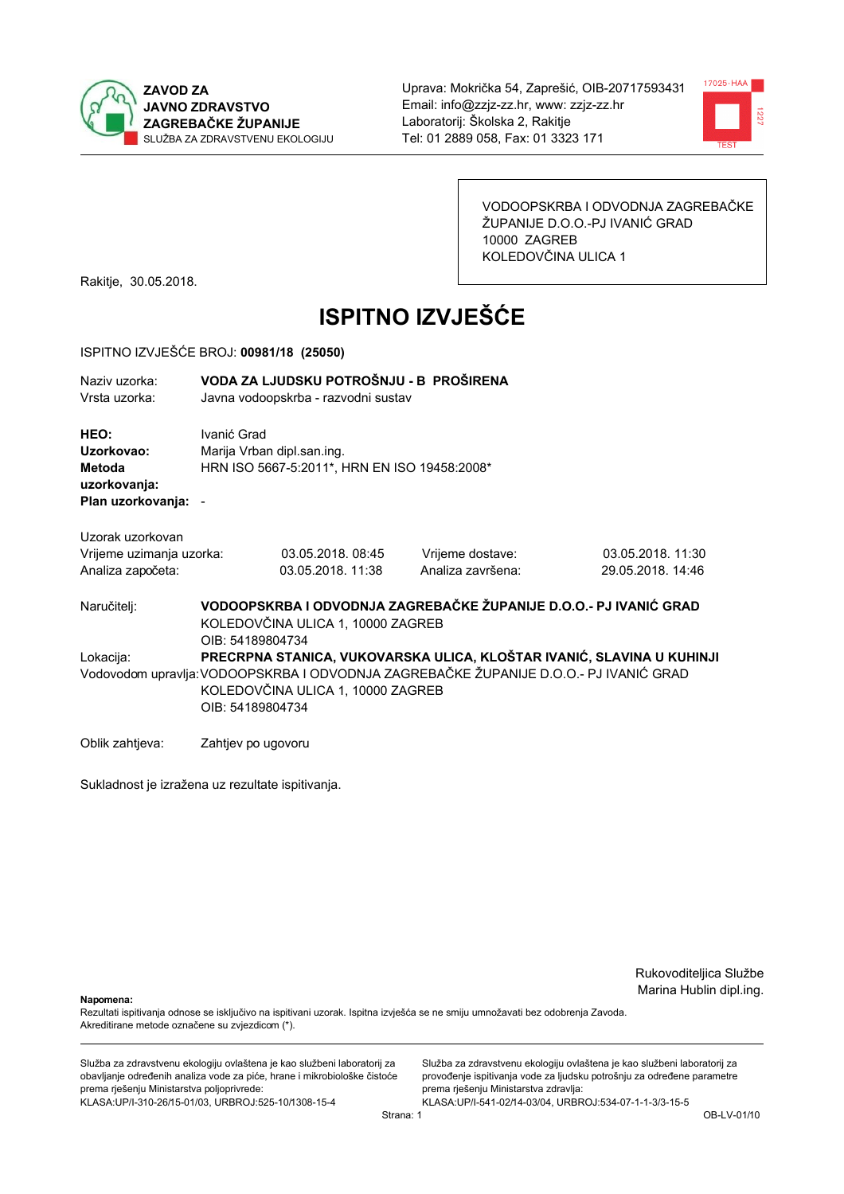



VODOOPSKRBA I ODVODNJA ZAGREBAČKE ŽUPANIJE D.O.O.-PJ IVANIĆ GRAD 10000 ZAGREB KOLEDOVČINA ULICA 1

Rakitje, 30.05.2018.

# **ISPITNO IZVJEŠĆE**

#### ISPITNO IZVJEŠĆE BROJ: 00981/18 (25050)

VODA ZA LJUDSKU POTROŠNJU - B PROŠIRENA Naziy uzorka:

Vrsta uzorka: Javna vodoopskrba - razvodni sustav

HEO: Ivanić Grad Uzorkovao: Mariia Vrban dipl.san.ing. Metoda HRN ISO 5667-5:2011\*, HRN EN ISO 19458:2008\* uzorkovanja: Plan uzorkovanja: -

Uzorak uzorkovan

| Vrijeme uzimanja uzorka: | 03.05.2018, 08:45 | Vrijeme dostave:  | 03.05.2018. 11:30 |
|--------------------------|-------------------|-------------------|-------------------|
| Analiza započeta:        | 03.05.2018. 11:38 | Analiza završena: | 29.05.2018. 14:46 |

VODOOPSKRBA I ODVODNJA ZAGREBAČKE ŽUPANIJE D.O.O.- PJ IVANIĆ GRAD Naručitelj: KOLEDOVČINA ULICA 1, 10000 ZAGREB OIB: 54189804734 PRECRPNA STANICA, VUKOVARSKA ULICA, KLOŠTAR IVANIĆ, SLAVINA U KUHINJI Lokacija: Vodovodom upravlja: VODOOPSKRBA I ODVODNJA ZAGREBAČKE ŽUPANIJE D.O.O.- PJ IVANIĆ GRAD KOLEDOVČINA ULICA 1, 10000 ZAGREB OIB: 54189804734

Oblik zahtjeva: Zahtjev po ugovoru

Sukladnost je izražena uz rezultate ispitivanja.

Rukovoditeljica Službe Marina Hublin dipl.ing.

Nanomena:

Rezultati ispitivanja odnose se isključivo na ispitivani uzorak. Ispitna izvješća se ne smiju umnožavati bez odobrenja Zavoda. Akreditirane metode označene su zvjezdicom (\*).

Služba za zdravstvenu ekologiju ovlaštena je kao službeni laboratorij za obavljanje određenih analiza vode za piće, hrane i mikrobiološke čistoće prema rješenju Ministarstva poljoprivrede: KLASA: UP/I-310-26/15-01/03, URBROJ: 525-10/1308-15-4

Služba za zdravstvenu ekologiju ovlaštena je kao službeni laboratorij za provođenje ispitivanja vode za ljudsku potrošnju za određene parametre prema rješenju Ministarstva zdravlja: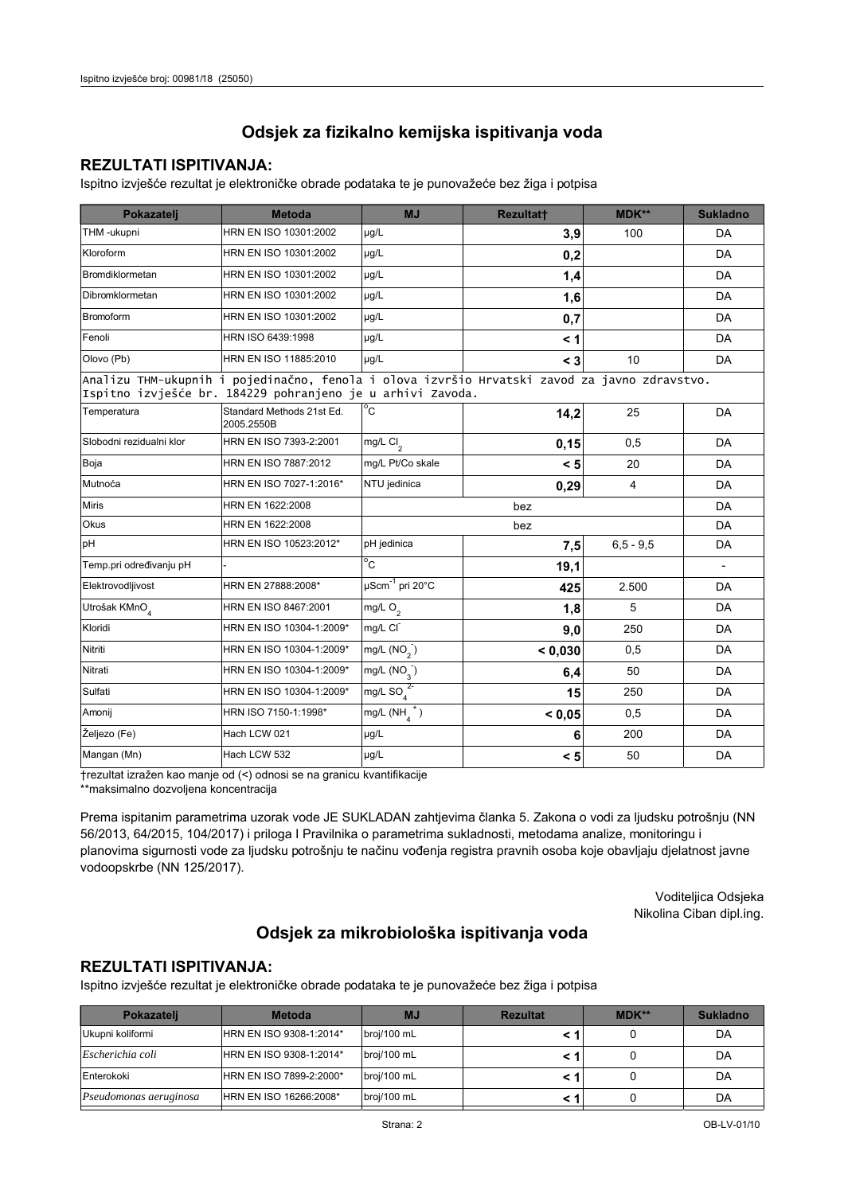### **REZULTATI ISPITIVANJA:**

Ispitno izvješće rezultat je elektroničke obrade podataka te je punovažeće bez žiga i potpisa

| Pokazatelj                                                                                                                                                 | <b>Metoda</b>                           | MJ                        | Rezultatt | MDK**          | <b>Sukladno</b>          |  |  |
|------------------------------------------------------------------------------------------------------------------------------------------------------------|-----------------------------------------|---------------------------|-----------|----------------|--------------------------|--|--|
| THM -ukupni                                                                                                                                                | HRN EN ISO 10301:2002                   | µg/L                      | 3,9       | 100            | DA                       |  |  |
| Kloroform                                                                                                                                                  | HRN EN ISO 10301:2002                   | µg/L                      | 0,2       |                | DA                       |  |  |
| <b>Bromdiklormetan</b>                                                                                                                                     | HRN EN ISO 10301:2002                   | µg/L                      | 1,4       |                | DA                       |  |  |
| Dibromklormetan                                                                                                                                            | HRN EN ISO 10301:2002                   | µg/L                      | 1,6       |                | DA                       |  |  |
| <b>Bromoform</b>                                                                                                                                           | HRN EN ISO 10301:2002                   | µg/L                      | 0,7       |                | DA                       |  |  |
| Fenoli                                                                                                                                                     | HRN ISO 6439:1998                       | µg/L                      | < 1       |                | <b>DA</b>                |  |  |
| Olovo (Pb)                                                                                                                                                 | HRN EN ISO 11885:2010                   | µg/L                      | $<$ 3     | 10             | DA                       |  |  |
| Analizu THM-ukupnih i pojedinačno, fenola i olova izvršio Hrvatski zavod za javno zdravstvo.<br>Ispitno izvješće br. 184229 pohranjeno je u arhivi Zavoda. |                                         |                           |           |                |                          |  |  |
| Temperatura                                                                                                                                                | Standard Methods 21st Ed.<br>2005.2550B | $^{\circ}$ C              | 14,2      | 25             | DA                       |  |  |
| Slobodni rezidualni klor                                                                                                                                   | HRN EN ISO 7393-2:2001                  | mg/L Cl <sub>2</sub>      | 0,15      | 0,5            | DA                       |  |  |
| Boja                                                                                                                                                       | HRN EN ISO 7887:2012                    | mg/L Pt/Co skale          | < 5       | 20             | DA                       |  |  |
| Mutnoća                                                                                                                                                    | HRN EN ISO 7027-1:2016*                 | NTU jedinica              | 0,29      | $\overline{4}$ | DA                       |  |  |
| <b>Miris</b>                                                                                                                                               | HRN EN 1622:2008                        |                           | bez       |                | DA                       |  |  |
| Okus                                                                                                                                                       | HRN EN 1622:2008                        |                           | bez       |                | DA                       |  |  |
| pH                                                                                                                                                         | HRN EN ISO 10523:2012*                  | pH jedinica               | 7,5       | $6.5 - 9.5$    | DA                       |  |  |
| Temp.pri određivanju pH                                                                                                                                    |                                         | $\overline{C}$            | 19,1      |                | $\overline{\phantom{a}}$ |  |  |
| Elektrovodljivost                                                                                                                                          | HRN EN 27888:2008*                      | µScm-1 pri 20°C           | 425       | 2.500          | DA                       |  |  |
| Utrošak KMnO <sub>4</sub>                                                                                                                                  | HRN EN ISO 8467:2001                    | mg/L $O_2$                | 1,8       | 5              | DA                       |  |  |
| Kloridi                                                                                                                                                    | HRN EN ISO 10304-1:2009*                | mg/L CI                   | 9,0       | 250            | DA                       |  |  |
| Nitriti                                                                                                                                                    | HRN EN ISO 10304-1:2009*                | mg/L $(NO2)$              | < 0,030   | 0,5            | DA                       |  |  |
| Nitrati                                                                                                                                                    | HRN EN ISO 10304-1:2009*                | $mg/L$ (NO <sub>2</sub> ) | 6,4       | 50             | DA                       |  |  |
| Sulfati                                                                                                                                                    | HRN EN ISO 10304-1:2009*                | mg/L SO $_4^{2}$          | 15        | 250            | DA                       |  |  |
| Amonij                                                                                                                                                     | HRN ISO 7150-1:1998*                    | mg/L $(NH_4^+)$           | < 0.05    | 0,5            | DA                       |  |  |
| Željezo (Fe)                                                                                                                                               | Hach LCW 021                            | µg/L                      | 6         | 200            | DA                       |  |  |
| Mangan (Mn)                                                                                                                                                | Hach LCW 532                            | µg/L                      | < 5       | 50             | DA                       |  |  |

trezultat izražen kao manje od (<) odnosi se na granicu kvantifikacije

\*\*maksimalno dozvoljena koncentracija

Prema ispitanim parametrima uzorak vode JE SUKLADAN zahtjevima članka 5. Zakona o vodi za ljudsku potrošnju (NN 56/2013, 64/2015, 104/2017) i priloga I Pravilnika o parametrima sukladnosti, metodama analize, monitoringu i planovima sigurnosti vode za ljudsku potrošnju te načinu vođenja registra pravnih osoba koje obavljaju djelatnost javne vodoopskrbe (NN 125/2017).

> Voditeljica Odsjeka Nikolina Ciban dipl.ing.

## Odsjek za mikrobiološka ispitivanja voda

## **REZULTATI ISPITIVANJA:**

Ispitno izvješće rezultat je elektroničke obrade podataka te je punovažeće bez žiga i potpisa

| Pokazateli                    | <b>Metoda</b>           | <b>MJ</b>   | <b>Rezultat</b> | MDK** | <b>Sukladno</b> |
|-------------------------------|-------------------------|-------------|-----------------|-------|-----------------|
| Ukupni koliformi              | HRN EN ISO 9308-1:2014* | broj/100 mL |                 |       | DA              |
| Escherichia coli              | HRN EN ISO 9308-1:2014* | broj/100 mL |                 |       | DA              |
| Enterokoki                    | HRN EN ISO 7899-2:2000* | broj/100 mL |                 |       | DA              |
| <i>Pseudomonas aeruginosa</i> | HRN EN ISO 16266:2008*  | broj/100 mL |                 |       | DA              |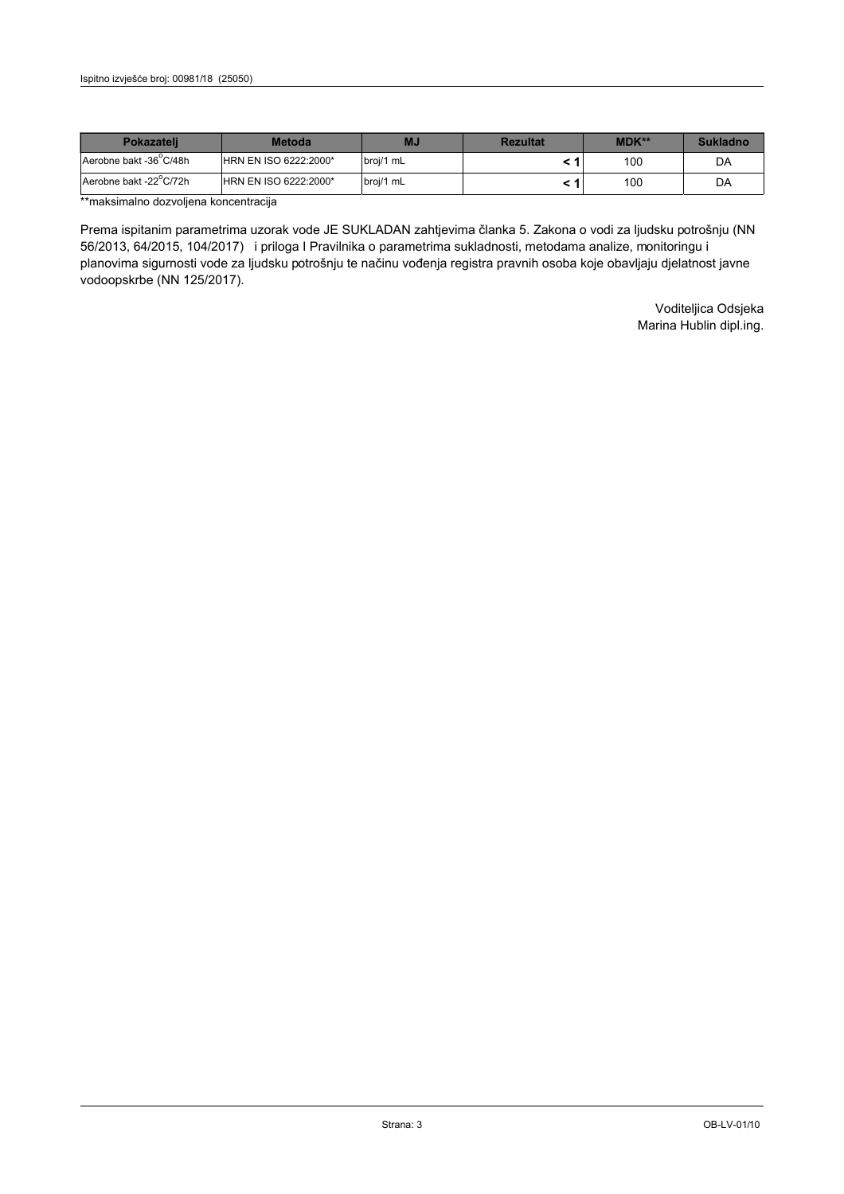| <b>Pokazateli</b>      | <b>Metoda</b>                | ΜJ        | <b>Rezultat</b> | <b>MDK**</b> | <b>Sukladno</b> |
|------------------------|------------------------------|-----------|-----------------|--------------|-----------------|
| Aerobne bakt -36 C/48h | <b>HRN EN ISO 6222:2000*</b> | broj/1 mL |                 | 100          | DA              |
| Aerobne bakt -22 C/72h | <b>HRN EN ISO 6222:2000*</b> | broj/1 mL |                 | 100          | DA              |

\*\*maksimalno dozvoljena koncentracija

Prema ispitanim parametrima uzorak vode JE SUKLADAN zahtjevima članka 5. Zakona o vodi za ljudsku potrošnju (NN 56/2013, 64/2015, 104/2017) i priloga I Pravilnika o parametrima sukladnosti, metodama analize, monitoringu i planovima sigurnosti vode za ljudsku potrošnju te načinu vođenja registra pravnih osoba koje obavljaju djelatnost javne vodoopskrbe (NN 125/2017).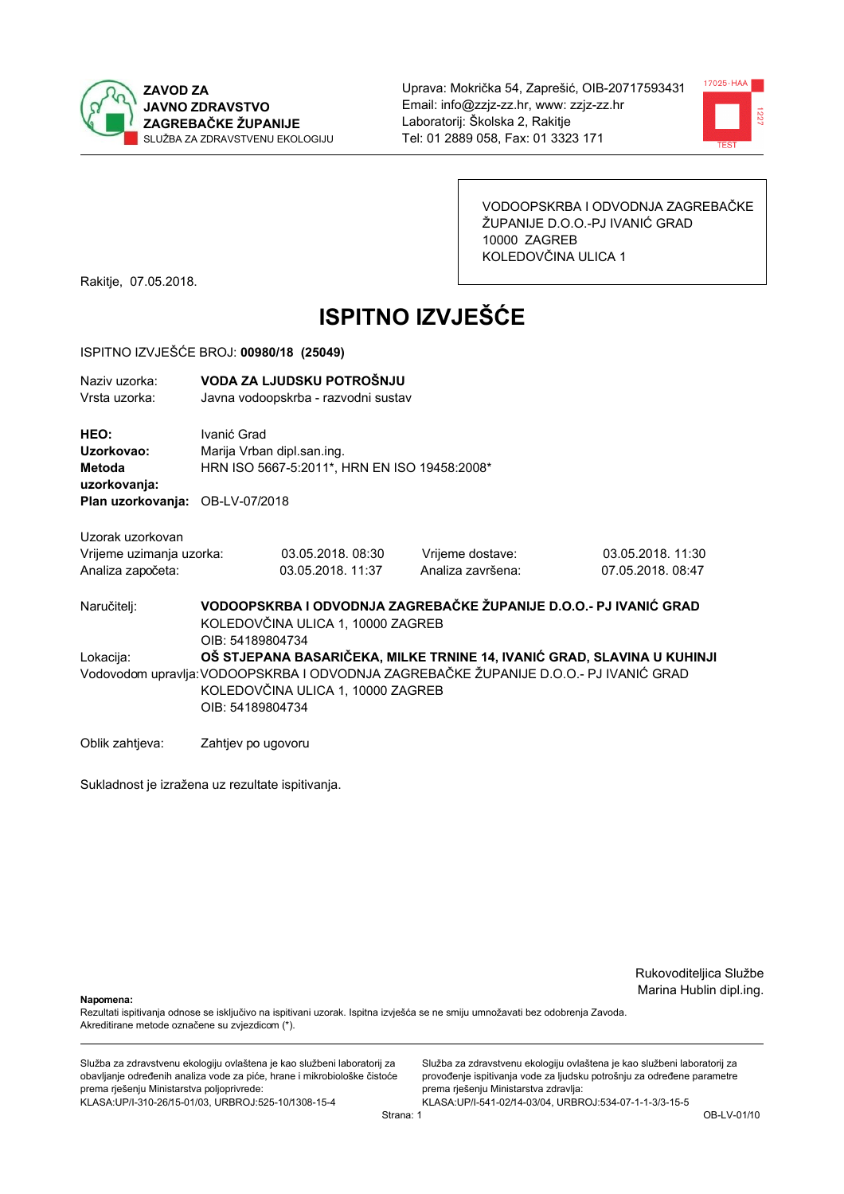



VODOOPSKRBA I ODVODNJA ZAGREBAČKE ŽUPANIJE D.O.O.-PJ IVANIĆ GRAD 10000 ZAGREB KOLEDOVČINA ULICA 1

Rakitje, 07.05.2018.

# **ISPITNO IZVJEŠĆE**

#### ISPITNO IZVJEŠĆE BROJ: 00980/18 (25049)

| Naziy uzorka:<br>Vrsta uzorka:                |                                                                                                                                                                                                                           | VODA ZA LJUDSKU POTROŠNJU<br>Javna vodoopskrba - razvodni sustav           |                                       |                                                                   |  |  |
|-----------------------------------------------|---------------------------------------------------------------------------------------------------------------------------------------------------------------------------------------------------------------------------|----------------------------------------------------------------------------|---------------------------------------|-------------------------------------------------------------------|--|--|
| HEO:<br>Uzorkovao:<br>Metoda<br>uzorkovanja:  | Ivanić Grad                                                                                                                                                                                                               | Marija Vrban dipl.san.ing.<br>HRN ISO 5667-5:2011*, HRN EN ISO 19458:2008* |                                       |                                                                   |  |  |
| Plan uzorkovanja: OB-LV-07/2018               |                                                                                                                                                                                                                           |                                                                            |                                       |                                                                   |  |  |
| Uzorak uzorkovan                              |                                                                                                                                                                                                                           |                                                                            |                                       |                                                                   |  |  |
| Vrijeme uzimanja uzorka:<br>Analiza započeta: |                                                                                                                                                                                                                           | 03.05.2018.08:30<br>03.05.2018. 11:37                                      | Vrijeme dostave:<br>Analiza završena: | 03.05.2018. 11:30<br>07.05.2018.08:47                             |  |  |
| Naručitelj:                                   | OIB: 54189804734                                                                                                                                                                                                          | KOLEDOVČINA ULICA 1, 10000 ZAGREB                                          |                                       | VODOOPSKRBA I ODVODNJA ZAGREBAČKE ŽUPANIJE D.O.O.- PJ IVANIĆ GRAD |  |  |
| Lokacija:                                     | OŠ STJEPANA BASARIČEKA, MILKE TRNINE 14, IVANIĆ GRAD, SLAVINA U KUHINJI<br>Vodovodom upravlja: VODOOPSKRBA I ODVODNJA ZAGREBAČKE ŽUPANIJE D.O.O.- PJ IVANIĆ GRAD<br>KOLEDOVČINA ULICA 1, 10000 ZAGREB<br>OIB: 54189804734 |                                                                            |                                       |                                                                   |  |  |
| Oblik zahtjeva:                               | Zahtjev po ugovoru                                                                                                                                                                                                        |                                                                            |                                       |                                                                   |  |  |

Sukladnost je izražena uz rezultate ispitivanja.

Rukovoditeljica Službe Marina Hublin dipl.ing.

Napomena:

Rezultati ispitivanja odnose se isključivo na ispitivani uzorak. Ispitna izvješća se ne smiju umnožavati bez odobrenja Zavoda. Akreditirane metode označene su zvjezdicom (\*).

Služba za zdravstvenu ekologiju ovlaštena je kao službeni laboratorij za obavljanje određenih analiza vode za piće, hrane i mikrobiološke čistoće prema rješenju Ministarstva poljoprivrede: KLASA.UP/I-310-26/15-01/03, URBROJ:525-10/1308-15-4

Služba za zdravstvenu ekologiju ovlaštena je kao službeni laboratorij za provođenje ispitivanja vode za ljudsku potrošnju za određene parametre prema rješenju Ministarstva zdravlja: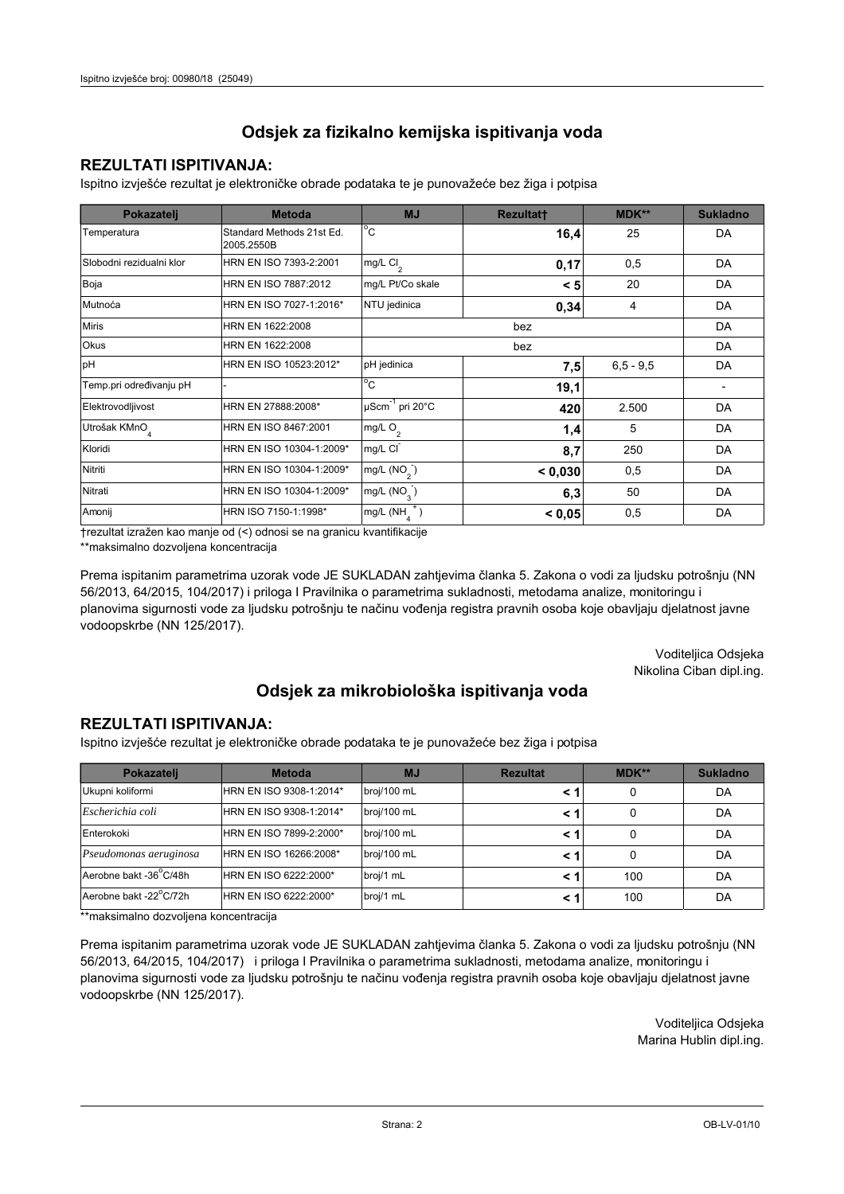## **REZULTATI ISPITIVANJA:**

Ispitno izviešće rezultat je elektroničke obrade podataka te je punovažeće bez žiga i potpisa

| Pokazatelj                | <b>Metoda</b>                           | <b>MJ</b>                   | <b>Rezultatt</b> | <b>MDK**</b>  | <b>Sukladno</b> |
|---------------------------|-----------------------------------------|-----------------------------|------------------|---------------|-----------------|
| Temperatura               | Standard Methods 21st Ed.<br>2005.2550B | $^{\circ}$ C                | 16,4             | 25            | DA              |
| Slobodni rezidualni klor  | HRN EN ISO 7393-2:2001                  | $mg/L$ Cl <sub>2</sub>      | 0,17             | 0,5           | DA              |
| Boja                      | HRN EN ISO 7887:2012                    | mg/L Pt/Co skale            | < 5              | 20            | DA              |
| Mutnoća                   | HRN EN ISO 7027-1:2016*                 | NTU jedinica                | 0,34             | 4             | DA              |
| <b>Miris</b>              | HRN EN 1622:2008                        |                             | bez              |               | DA              |
| Okus                      | HRN EN 1622:2008                        |                             |                  | DA            |                 |
| pH                        | HRN EN ISO 10523:2012*                  | pH jedinica                 | 7,5              | $6, 5 - 9, 5$ | DA              |
| Temp.pri određivanju pH   |                                         | $^{\circ}$ C                | 19,1             |               |                 |
| Elektrovodljivost         | HRN EN 27888:2008*                      | µScm <sup>-1</sup> pri 20°C | 420              | 2.500         | DA              |
| Utrošak KMnO <sub>4</sub> | HRN EN ISO 8467:2001                    | mg/L O <sub>2</sub>         | 1,4              | 5             | DA              |
| Kloridi                   | HRN EN ISO 10304-1:2009*                | mg/L CI                     | 8,7              | 250           | DA              |
| Nitriti                   | HRN EN ISO 10304-1:2009*                | mg/L (NO <sub>2</sub> )     | < 0.030          | 0,5           | DA              |
| Nitrati                   | HRN EN ISO 10304-1:2009*                | mg/L $(NO_3)$               | 6,3              | 50            | DA              |
| Amonij                    | HRN ISO 7150-1:1998*                    | mg/L (NH                    | < 0.05           | 0,5           | DA              |

trezultat izražen kao manje od (<) odnosi se na granicu kvantifikacije

\*\*maksimalno dozvoljena koncentracija

Prema ispitanim parametrima uzorak vode JE SUKLADAN zahtjevima članka 5. Zakona o vodi za ljudsku potrošnju (NN 56/2013, 64/2015, 104/2017) i priloga I Pravilnika o parametrima sukladnosti, metodama analize, monitoringu i planovima sigurnosti vode za ljudsku potrošnju te načinu vođenja registra pravnih osoba koje obavljaju djelatnost javne vodoopskrbe (NN 125/2017).

> Voditeljica Odsjeka Nikolina Ciban dipl.ing.

## Odsjek za mikrobiološka ispitivanja voda

### **REZULTATI ISPITIVANJA:**

Ispitno izvješće rezultat je elektroničke obrade podataka te je punovažeće bez žiga i potpisa

| Pokazatelj             | <b>Metoda</b>           | <b>MJ</b>   | <b>Rezultat</b> | MDK** | <b>Sukladno</b> |
|------------------------|-------------------------|-------------|-----------------|-------|-----------------|
| Ukupni koliformi       | HRN EN ISO 9308-1:2014* | broj/100 mL |                 | 0     | DA              |
| Escherichia coli       | HRN EN ISO 9308-1:2014* | broj/100 mL |                 | 0     | DA              |
| Enterokoki             | HRN EN ISO 7899-2:2000* | broj/100 mL |                 | 0     | DA              |
| Pseudomonas aeruginosa | HRN EN ISO 16266:2008*  | broj/100 mL | < 1             | 0     | DA              |
| Aerobne bakt -36 C/48h | HRN EN ISO 6222:2000*   | broj/1 mL   |                 | 100   | DA              |
| Aerobne bakt -22°C/72h | HRN EN ISO 6222:2000*   | broj/1 mL   |                 | 100   | DA              |

\*\*maksimalno dozvoljena koncentracija

Prema ispitanim parametrima uzorak vode JE SUKLADAN zahtjevima članka 5. Zakona o vodi za ljudsku potrošnju (NN 56/2013, 64/2015, 104/2017) i priloga I Pravilnika o parametrima sukladnosti, metodama analize, monitoringu i planovima sigurnosti vode za ljudsku potrošnju te načinu vođenja registra pravnih osoba koje obavljaju djelatnost javne vodoopskrbe (NN 125/2017).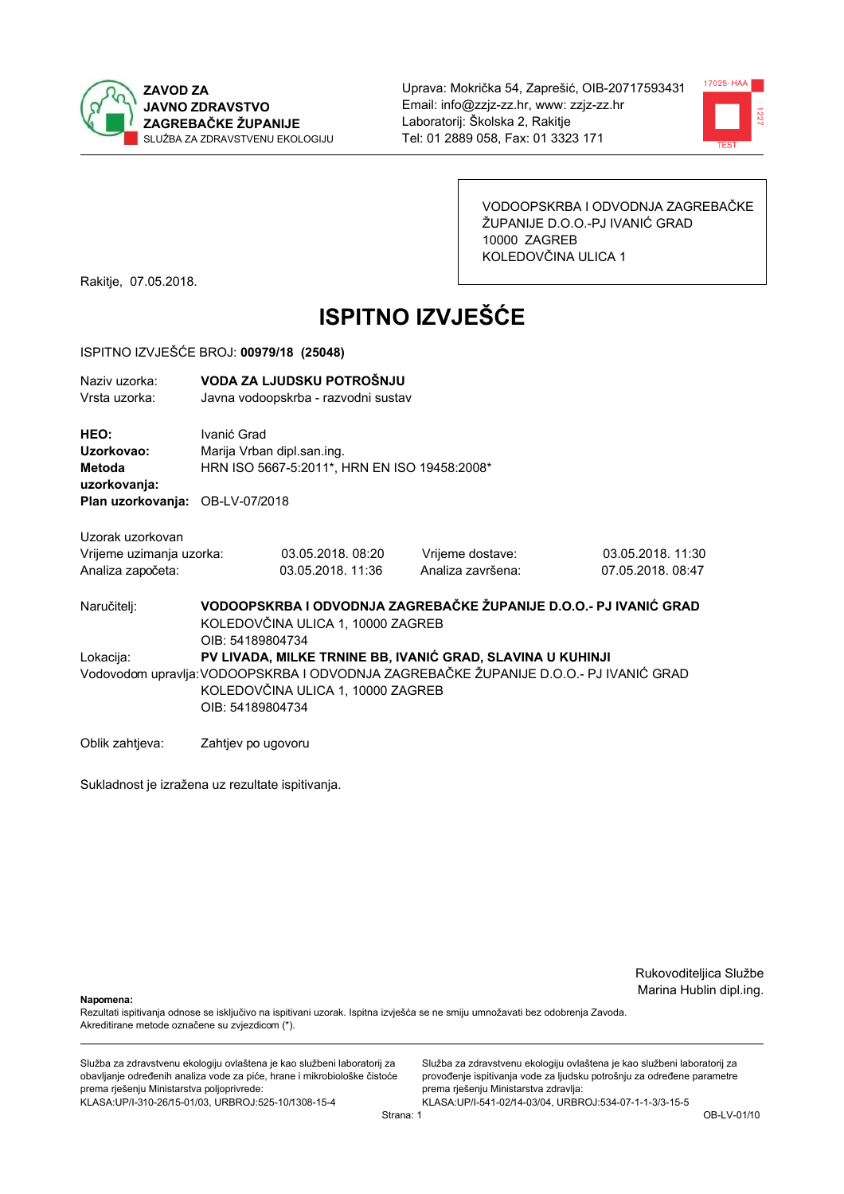



VODOOPSKRBA I ODVODNJA ZAGREBAČKE ŽUPANIJE D.O.O.-PJ IVANIĆ GRAD 10000 ZAGREB KOLEDOVČINA ULICA 1

Rakitje, 07.05.2018.

# **ISPITNO IZVJEŠĆE**

### ISPITNO IZVJEŠĆE BROJ: 00979/18 (25048)

| Naziv uzorka:<br>Vrsta uzorka:                                                         |                                                                                                                                                | VODA ZA LJUDSKU POTROŠNJU<br>Javna vodoopskrba - razvodni sustav           |                                       |                                       |  |  |
|----------------------------------------------------------------------------------------|------------------------------------------------------------------------------------------------------------------------------------------------|----------------------------------------------------------------------------|---------------------------------------|---------------------------------------|--|--|
| HEO:<br>Uzorkovao:<br><b>Metoda</b><br>uzorkovanja:<br>Plan uzorkovanja: OB-LV-07/2018 | Ivanić Grad                                                                                                                                    | Marija Vrban dipl.san.ing.<br>HRN ISO 5667-5:2011*, HRN EN ISO 19458:2008* |                                       |                                       |  |  |
| Uzorak uzorkovan                                                                       |                                                                                                                                                |                                                                            |                                       |                                       |  |  |
| Vrijeme uzimanja uzorka:<br>Analiza započeta:                                          |                                                                                                                                                | 03.05.2018.08:20<br>03.05.2018. 11:36                                      | Vrijeme dostave:<br>Analiza završena: | 03.05.2018. 11:30<br>07.05.2018.08:47 |  |  |
| Naručitelj:                                                                            | VODOOPSKRBA I ODVODNJA ZAGREBAČKE ŽUPANIJE D.O.O.- PJ IVANIĆ GRAD<br>KOLEDOVČINA ULICA 1, 10000 ZAGREB<br>OIB: 54189804734                     |                                                                            |                                       |                                       |  |  |
| Lokacija:                                                                              |                                                                                                                                                | PV LIVADA, MILKE TRNINE BB, IVANIĆ GRAD, SLAVINA U KUHINJI                 |                                       |                                       |  |  |
|                                                                                        | Vodovodom upravlja: VODOOPSKRBA I ODVODNJA ZAGREBAČKE ŽUPANIJE D.O.O.- PJ IVANIĆ GRAD<br>KOLEDOVČINA ULICA 1, 10000 ZAGREB<br>OIB: 54189804734 |                                                                            |                                       |                                       |  |  |
| Oblik zahtjeva:                                                                        | Zahtjev po ugovoru                                                                                                                             |                                                                            |                                       |                                       |  |  |

Sukladnost je izražena uz rezultate ispitivanja.

Rukovoditeljica Službe Marina Hublin dipl.ing.

Napomena:

Rezultati ispitivanja odnose se isključivo na ispitivani uzorak. Ispitna izvješća se ne smiju umnožavati bez odobrenja Zavoda. Akreditirane metode označene su zvjezdicom (\*).

Služba za zdravstvenu ekologiju ovlaštena je kao službeni laboratorij za obavljanje određenih analiza vode za piće, hrane i mikrobiološke čistoće prema rješenju Ministarstva poljoprivrede: KLASA.UP/I-310-26/15-01/03, URBROJ:525-10/1308-15-4

Služba za zdravstvenu ekologiju ovlaštena je kao službeni laboratorij za provođenje ispitivanja vode za ljudsku potrošnju za određene parametre prema rješenju Ministarstva zdravlja: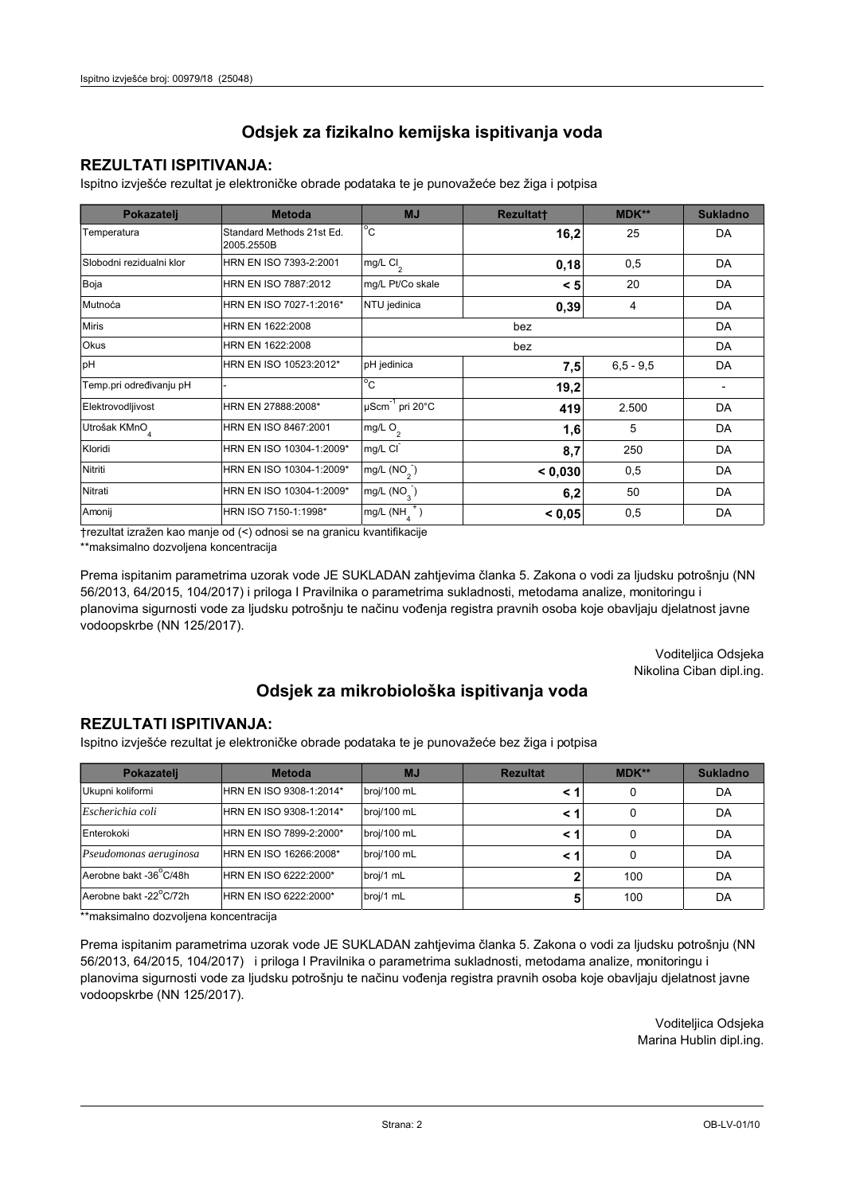## **REZULTATI ISPITIVANJA:**

Ispitno izviešće rezultat je elektroničke obrade podataka te je punovažeće bez žiga i potpisa

| Pokazatelj                | <b>Metoda</b>                           | <b>MJ</b>                   | <b>Rezultatt</b> | <b>MDK**</b>  | <b>Sukladno</b> |
|---------------------------|-----------------------------------------|-----------------------------|------------------|---------------|-----------------|
| Temperatura               | Standard Methods 21st Ed.<br>2005.2550B | $^{\circ}$ C                | 16,2             | 25            | DA              |
| Slobodni rezidualni klor  | HRN EN ISO 7393-2:2001                  | $\lfloor mg/L \, C \rfloor$ | 0,18             | 0,5           | DA              |
| Boja                      | HRN EN ISO 7887:2012                    | mg/L Pt/Co skale            | < 5              | 20            | DA              |
| Mutnoća                   | HRN EN ISO 7027-1:2016*                 | NTU jedinica                | 0,39             | 4             | DA              |
| <b>Miris</b>              | HRN EN 1622:2008                        |                             | bez              |               | DA              |
| Okus                      | HRN EN 1622:2008                        |                             |                  | DA            |                 |
| pH                        | HRN EN ISO 10523:2012*                  | pH jedinica                 | 7,5              | $6, 5 - 9, 5$ | DA              |
| Temp.pri određivanju pH   |                                         | $^{\circ}$ C                | 19,2             |               |                 |
| Elektrovodljivost         | HRN EN 27888:2008*                      | µScm <sup>-1</sup> pri 20°C | 419              | 2.500         | DA              |
| Utrošak KMnO <sub>4</sub> | HRN EN ISO 8467:2001                    | mg/L O <sub>2</sub>         | 1,6              | 5             | DA              |
| Kloridi                   | HRN EN ISO 10304-1:2009*                | mg/L CI                     | 8,7              | 250           | DA              |
| Nitriti                   | HRN EN ISO 10304-1:2009*                | mg/L (NO <sub>2</sub> )     | < 0.030          | 0,5           | DA              |
| Nitrati                   | HRN EN ISO 10304-1:2009*                | mg/L $(NO_3)$               | 6,2              | 50            | DA              |
| Amonij                    | HRN ISO 7150-1:1998*                    | mg/L (NH                    | < 0.05           | 0,5           | DA              |

trezultat izražen kao manje od (<) odnosi se na granicu kvantifikacije

\*\*maksimalno dozvoljena koncentracija

Prema ispitanim parametrima uzorak vode JE SUKLADAN zahtjevima članka 5. Zakona o vodi za ljudsku potrošnju (NN 56/2013, 64/2015, 104/2017) i priloga I Pravilnika o parametrima sukladnosti, metodama analize, monitoringu i planovima sigurnosti vode za ljudsku potrošnju te načinu vođenja registra pravnih osoba koje obavljaju djelatnost javne vodoopskrbe (NN 125/2017).

> Voditeljica Odsjeka Nikolina Ciban dipl.ing.

## Odsjek za mikrobiološka ispitivanja voda

### **REZULTATI ISPITIVANJA:**

Ispitno izvješće rezultat je elektroničke obrade podataka te je punovažeće bez žiga i potpisa

| Pokazatelj             | <b>Metoda</b>           | <b>MJ</b>   | <b>Rezultat</b> | MDK** | <b>Sukladno</b> |
|------------------------|-------------------------|-------------|-----------------|-------|-----------------|
| Ukupni koliformi       | HRN EN ISO 9308-1:2014* | broj/100 mL |                 | 0     | DA              |
| Escherichia coli       | HRN EN ISO 9308-1:2014* | broj/100 mL |                 | 0     | DA              |
| Enterokoki             | HRN EN ISO 7899-2:2000* | broj/100 mL |                 | 0     | DA              |
| Pseudomonas aeruginosa | HRN EN ISO 16266:2008*  | broj/100 mL | < 1             | 0     | DA              |
| Aerobne bakt -36 C/48h | HRN EN ISO 6222:2000*   | broj/1 mL   |                 | 100   | DA              |
| Aerobne bakt -22°C/72h | HRN EN ISO 6222:2000*   | broj/1 mL   |                 | 100   | DA              |

\*\*maksimalno dozvoljena koncentracija

Prema ispitanim parametrima uzorak vode JE SUKLADAN zahtjevima članka 5. Zakona o vodi za ljudsku potrošnju (NN 56/2013, 64/2015, 104/2017) i priloga I Pravilnika o parametrima sukladnosti, metodama analize, monitoringu i planovima sigurnosti vode za ljudsku potrošnju te načinu vođenja registra pravnih osoba koje obavljaju djelatnost javne vodoopskrbe (NN 125/2017).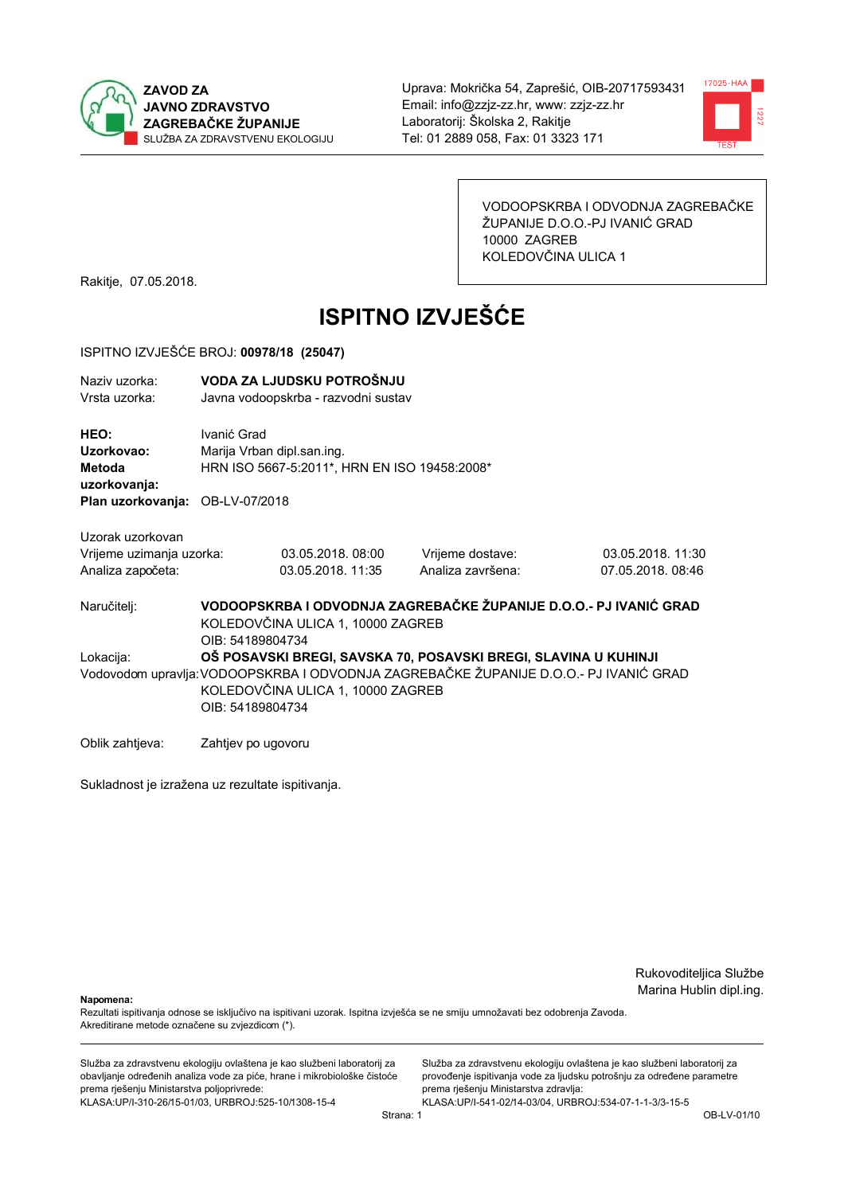



VODOOPSKRBA I ODVODNJA ZAGREBAČKE ŽUPANIJE D.O.O.-PJ IVANIĆ GRAD 10000 ZAGREB KOLEDOVČINA ULICA 1

Rakitje, 07.05.2018.

# **ISPITNO IZVJEŠĆE**

#### ISPITNO IZVJEŠĆE BROJ: 00978/18 (25047)

| Naziv uzorka:                   |                                   | VODA ZA LJUDSKU POTROŠNJU                    |                                                                                       |                   |  |  |
|---------------------------------|-----------------------------------|----------------------------------------------|---------------------------------------------------------------------------------------|-------------------|--|--|
| Vrsta uzorka:                   |                                   | Javna vodoopskrba - razvodni sustav          |                                                                                       |                   |  |  |
| HEO:                            | Ivanić Grad                       |                                              |                                                                                       |                   |  |  |
| Uzorkovao:                      |                                   | Marija Vrban dipl.san.ing.                   |                                                                                       |                   |  |  |
| Metoda                          |                                   | HRN ISO 5667-5:2011*, HRN EN ISO 19458:2008* |                                                                                       |                   |  |  |
| uzorkovanja:                    |                                   |                                              |                                                                                       |                   |  |  |
| Plan uzorkovanja: OB-LV-07/2018 |                                   |                                              |                                                                                       |                   |  |  |
| Uzorak uzorkovan                |                                   |                                              |                                                                                       |                   |  |  |
| Vrijeme uzimanja uzorka:        |                                   | 03.05.2018, 08:00                            | Vrijeme dostave:                                                                      | 03.05.2018. 11:30 |  |  |
| Analiza započeta:               |                                   | 03.05.2018. 11:35                            | Analiza završena:                                                                     | 07.05.2018.08:46  |  |  |
| Naručitelj:                     |                                   |                                              | VODOOPSKRBA I ODVODNJA ZAGREBAČKE ŽUPANIJE D.O.O.- PJ IVANIĆ GRAD                     |                   |  |  |
|                                 | KOLEDOVČINA ULICA 1, 10000 ZAGREB |                                              |                                                                                       |                   |  |  |
|                                 | OIB: 54189804734                  |                                              |                                                                                       |                   |  |  |
| Lokacija:                       |                                   |                                              | OŠ POSAVSKI BREGI, SAVSKA 70, POSAVSKI BREGI, SLAVINA U KUHINJI                       |                   |  |  |
|                                 |                                   |                                              | Vodovodom upravlja: VODOOPSKRBA I ODVODNJA ZAGREBAČKE ŽUPANIJE D.O.O.- PJ IVANIĆ GRAD |                   |  |  |
|                                 | KOLEDOVČINA ULICA 1, 10000 ZAGREB |                                              |                                                                                       |                   |  |  |
|                                 | OIB: 54189804734                  |                                              |                                                                                       |                   |  |  |
| Oblik zahtieva:                 | Zahtjev po ugovoru                |                                              |                                                                                       |                   |  |  |

Sukladnost je izražena uz rezultate ispitivanja.

Rukovoditeljica Službe Marina Hublin dipl.ing.

Napomena:

Rezultati ispitivanja odnose se isključivo na ispitivani uzorak. Ispitna izvješća se ne smiju umnožavati bez odobrenja Zavoda. Akreditirane metode označene su zvjezdicom (\*).

Služba za zdravstvenu ekologiju ovlaštena je kao službeni laboratorij za obavljanje određenih analiza vode za piće, hrane i mikrobiološke čistoće prema rješenju Ministarstva poljoprivrede: KLASA.UP/I-310-26/15-01/03, URBROJ:525-10/1308-15-4

Služba za zdravstvenu ekologiju ovlaštena je kao službeni laboratorij za provođenje ispitivanja vode za ljudsku potrošnju za određene parametre prema rješenju Ministarstva zdravlja: